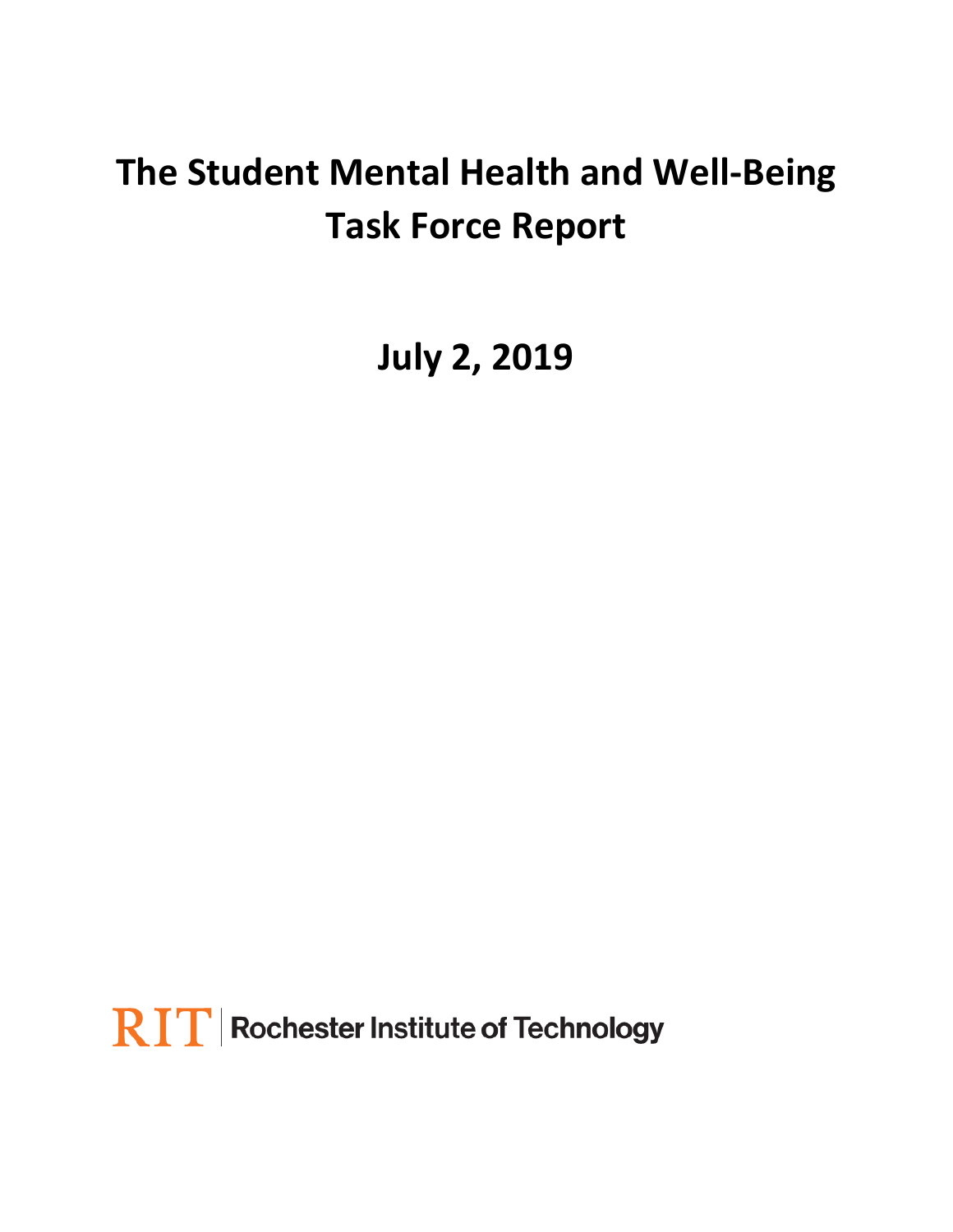# **The Student Mental Health and Well-Being Task Force Report**

**July 2, 2019**

 $\mathbf{RIT}$  Rochester Institute of Technology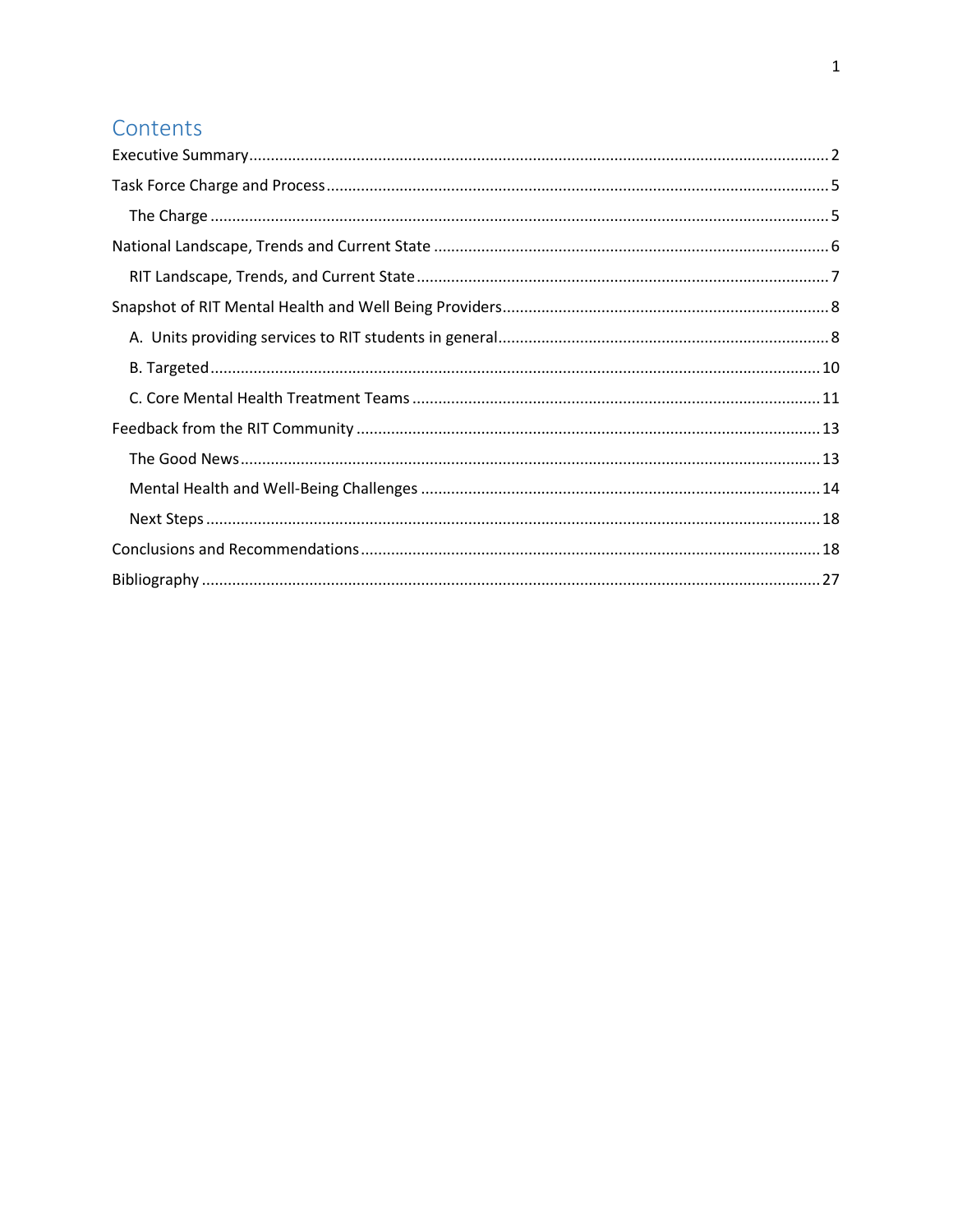# Contents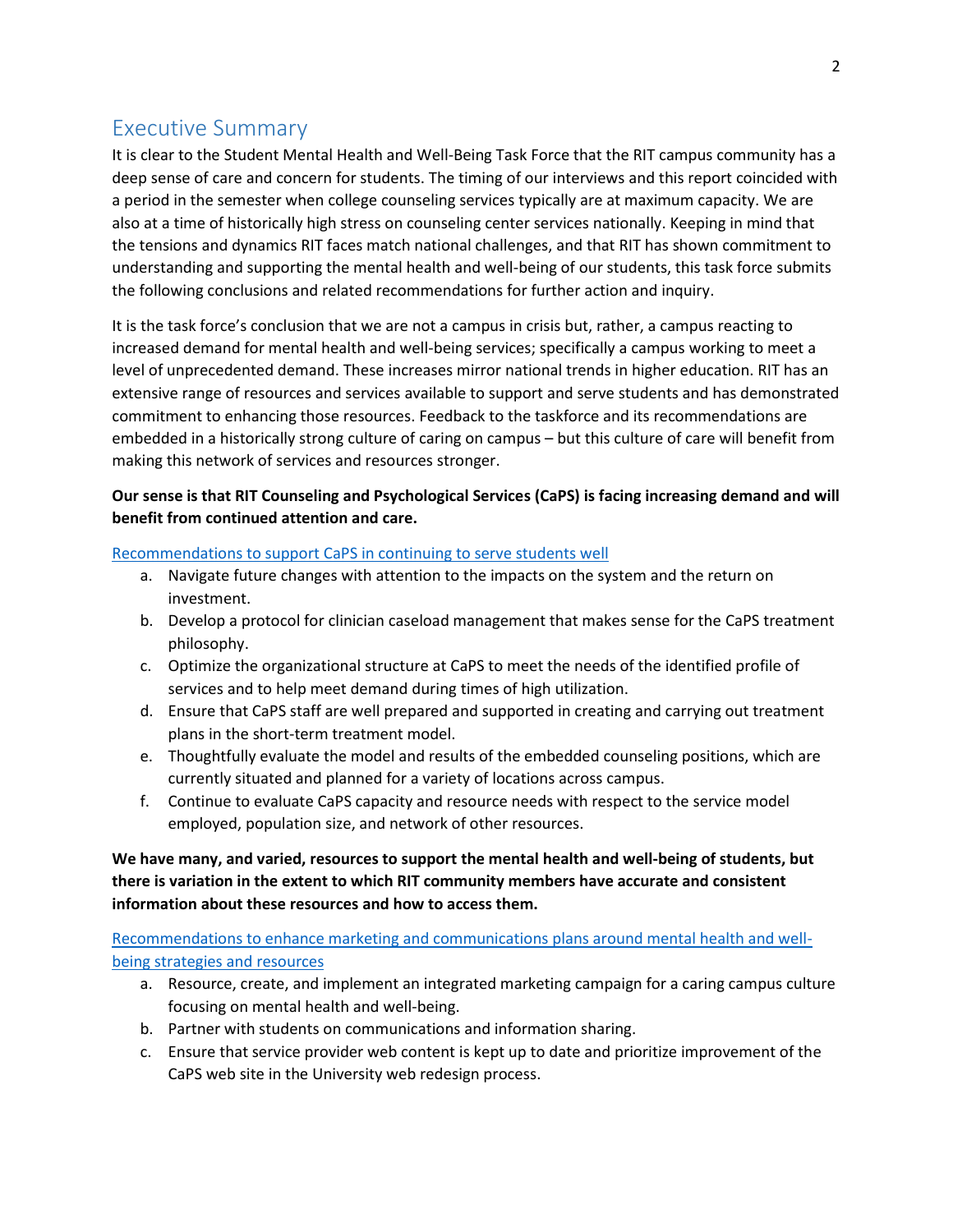# <span id="page-2-0"></span>Executive Summary

It is clear to the Student Mental Health and Well-Being Task Force that the RIT campus community has a deep sense of care and concern for students. The timing of our interviews and this report coincided with a period in the semester when college counseling services typically are at maximum capacity. We are also at a time of historically high stress on counseling center services nationally. Keeping in mind that the tensions and dynamics RIT faces match national challenges, and that RIT has shown commitment to understanding and supporting the mental health and well-being of our students, this task force submits the following conclusions and related recommendations for further action and inquiry.

It is the task force's conclusion that we are not a campus in crisis but, rather, a campus reacting to increased demand for mental health and well-being services; specifically a campus working to meet a level of unprecedented demand. These increases mirror national trends in higher education. RIT has an extensive range of resources and services available to support and serve students and has demonstrated commitment to enhancing those resources. Feedback to the taskforce and its recommendations are embedded in a historically strong culture of caring on campus – but this culture of care will benefit from making this network of services and resources stronger.

#### **Our sense is that RIT Counseling and Psychological Services (CaPS) is facing increasing demand and will benefit from continued attention and care.**

#### Recommendations to support CaPS [in continuing to serve students well](#page-19-0)

- a. Navigate future changes with attention to the impacts on the system and the return on investment.
- b. Develop a protocol for clinician caseload management that makes sense for the CaPS treatment philosophy.
- c. Optimize the organizational structure at CaPS to meet the needs of the identified profile of services and to help meet demand during times of high utilization.
- d. Ensure that CaPS staff are well prepared and supported in creating and carrying out treatment plans in the short-term treatment model.
- e. Thoughtfully evaluate the model and results of the embedded counseling positions, which are currently situated and planned for a variety of locations across campus.
- f. Continue to evaluate CaPS capacity and resource needs with respect to the service model employed, population size, and network of other resources.

## **We have many, and varied, resources to support the mental health and well-being of students, but there is variation in the extent to which RIT community members have accurate and consistent information about these resources and how to access them.**

[Recommendations to enhance marketing and communications plans around mental health and well](#page-21-0)[being strategies and resources](#page-21-0)

- a. Resource, create, and implement an integrated marketing campaign for a caring campus culture focusing on mental health and well-being.
- b. Partner with students on communications and information sharing.
- c. Ensure that service provider web content is kept up to date and prioritize improvement of the CaPS web site in the University web redesign process.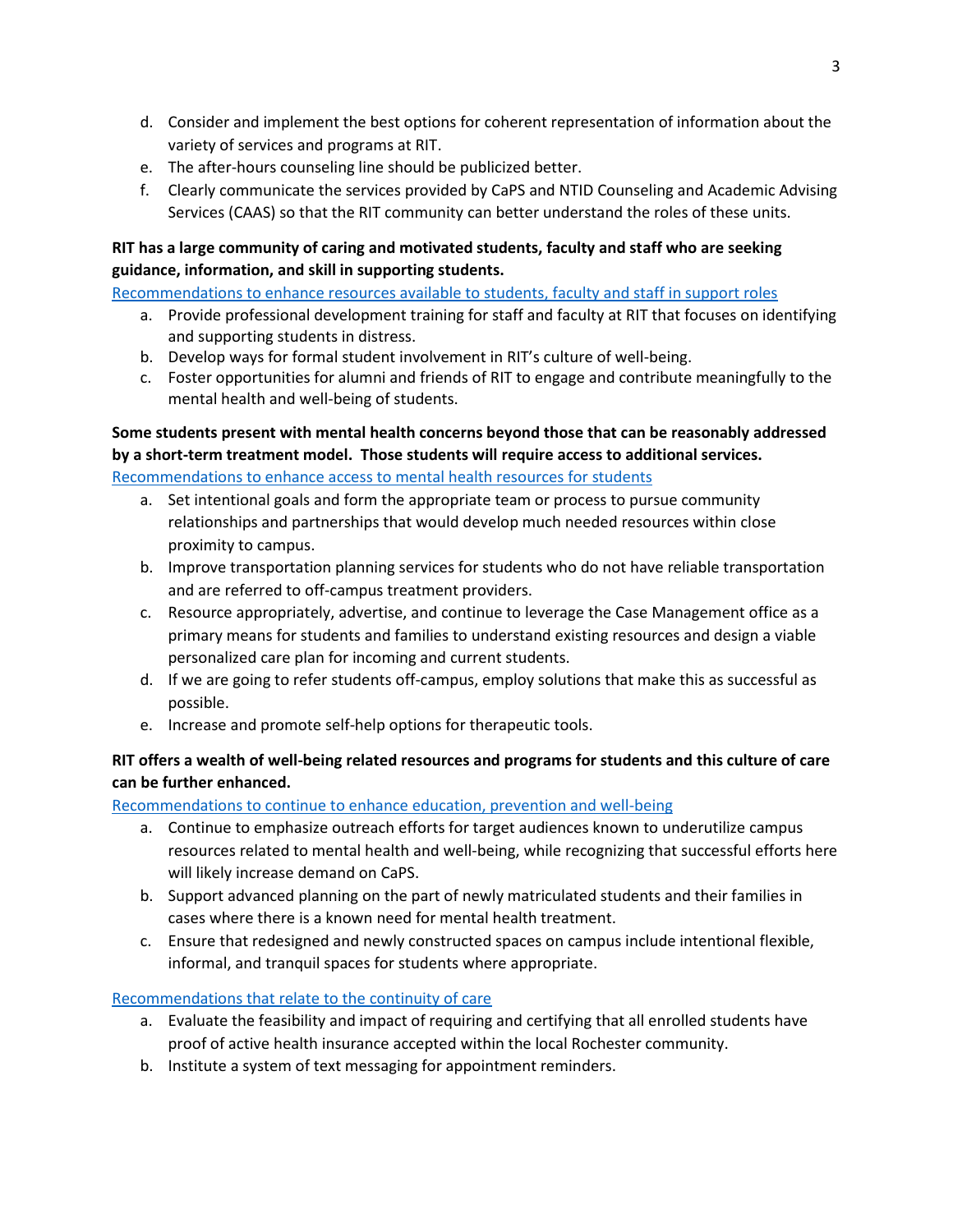- d. Consider and implement the best options for coherent representation of information about the variety of services and programs at RIT.
- e. The after-hours counseling line should be publicized better.
- f. Clearly communicate the services provided by CaPS and NTID Counseling and Academic Advising Services (CAAS) so that the RIT community can better understand the roles of these units.

## **RIT has a large community of caring and motivated students, faculty and staff who are seeking guidance, information, and skill in supporting students.**

[Recommendations to enhance resources available to students, faculty and staff in support roles](#page-22-0)

- a. Provide professional development training for staff and faculty at RIT that focuses on identifying and supporting students in distress.
- b. Develop ways for formal student involvement in RIT's culture of well-being.
- c. Foster opportunities for alumni and friends of RIT to engage and contribute meaningfully to the mental health and well-being of students.

## **Some students present with mental health concerns beyond those that can be reasonably addressed by a short-term treatment model. Those students will require access to additional services.**  [Recommendations to enhance access to mental health resources for students](#page-23-0)

- a. Set intentional goals and form the appropriate team or process to pursue community relationships and partnerships that would develop much needed resources within close proximity to campus.
- b. Improve transportation planning services for students who do not have reliable transportation and are referred to off-campus treatment providers.
- c. Resource appropriately, advertise, and continue to leverage the Case Management office as a primary means for students and families to understand existing resources and design a viable personalized care plan for incoming and current students.
- d. If we are going to refer students off-campus, employ solutions that make this as successful as possible.
- e. Increase and promote self-help options for therapeutic tools.

## **RIT offers a wealth of well-being related resources and programs for students and this culture of care can be further enhanced.**

[Recommendations to continue to enhance education, prevention and well-being](#page-24-0)

- a. Continue to emphasize outreach efforts for target audiences known to underutilize campus resources related to mental health and well-being, while recognizing that successful efforts here will likely increase demand on CaPS.
- b. Support advanced planning on the part of newly matriculated students and their families in cases where there is a known need for mental health treatment.
- c. Ensure that redesigned and newly constructed spaces on campus include intentional flexible, informal, and tranquil spaces for students where appropriate.

## [Recommendations that relate to the continuity of care](#page-25-0)

- a. Evaluate the feasibility and impact of requiring and certifying that all enrolled students have proof of active health insurance accepted within the local Rochester community.
- b. Institute a system of text messaging for appointment reminders.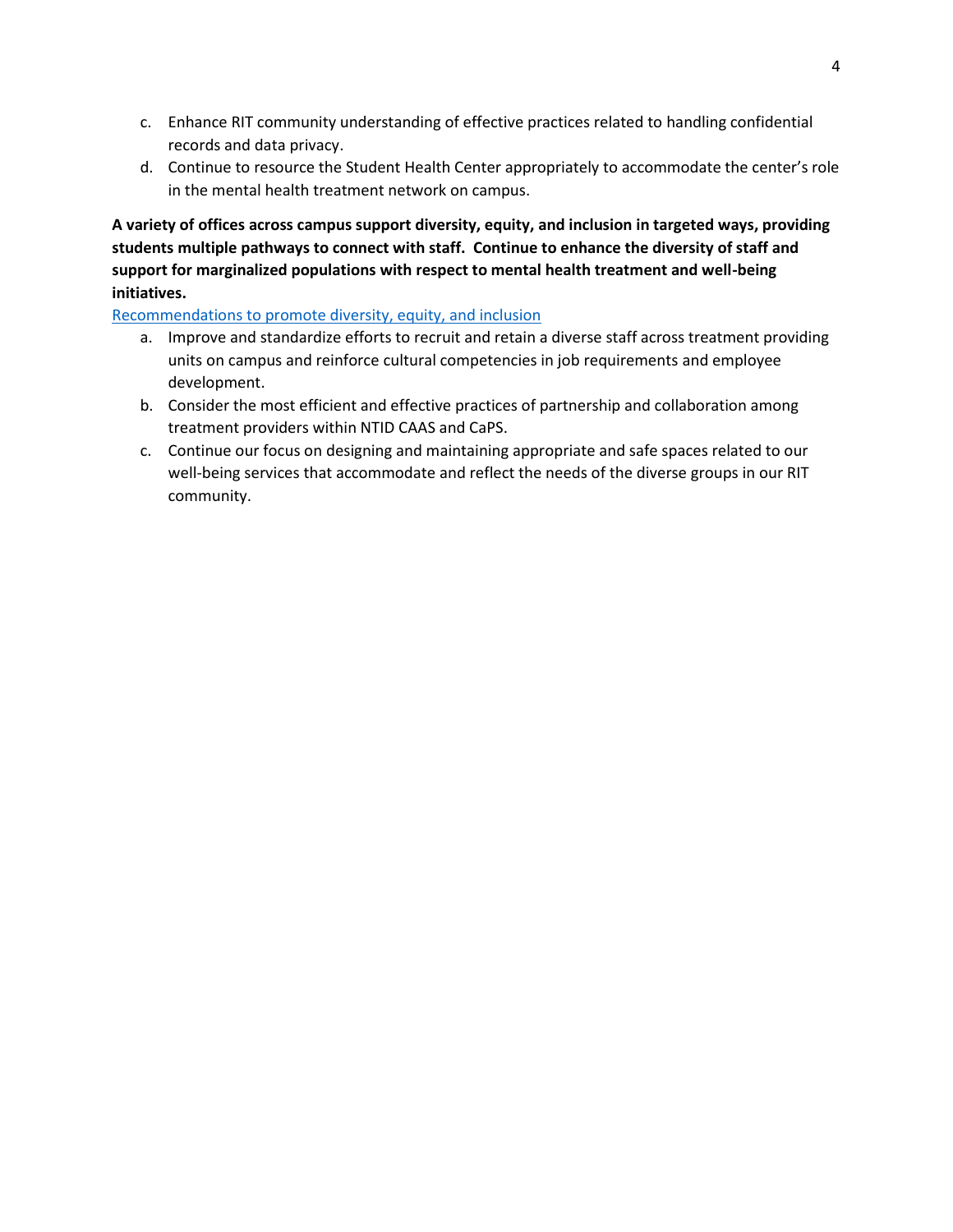- c. Enhance RIT community understanding of effective practices related to handling confidential records and data privacy.
- d. Continue to resource the Student Health Center appropriately to accommodate the center's role in the mental health treatment network on campus.

**A variety of offices across campus support diversity, equity, and inclusion in targeted ways, providing students multiple pathways to connect with staff. Continue to enhance the diversity of staff and support for marginalized populations with respect to mental health treatment and well-being initiatives.**

Recommendations to promote [diversity, equity, and inclusion](#page-26-0)

- a. Improve and standardize efforts to recruit and retain a diverse staff across treatment providing units on campus and reinforce cultural competencies in job requirements and employee development.
- b. Consider the most efficient and effective practices of partnership and collaboration among treatment providers within NTID CAAS and CaPS.
- c. Continue our focus on designing and maintaining appropriate and safe spaces related to our well-being services that accommodate and reflect the needs of the diverse groups in our RIT community.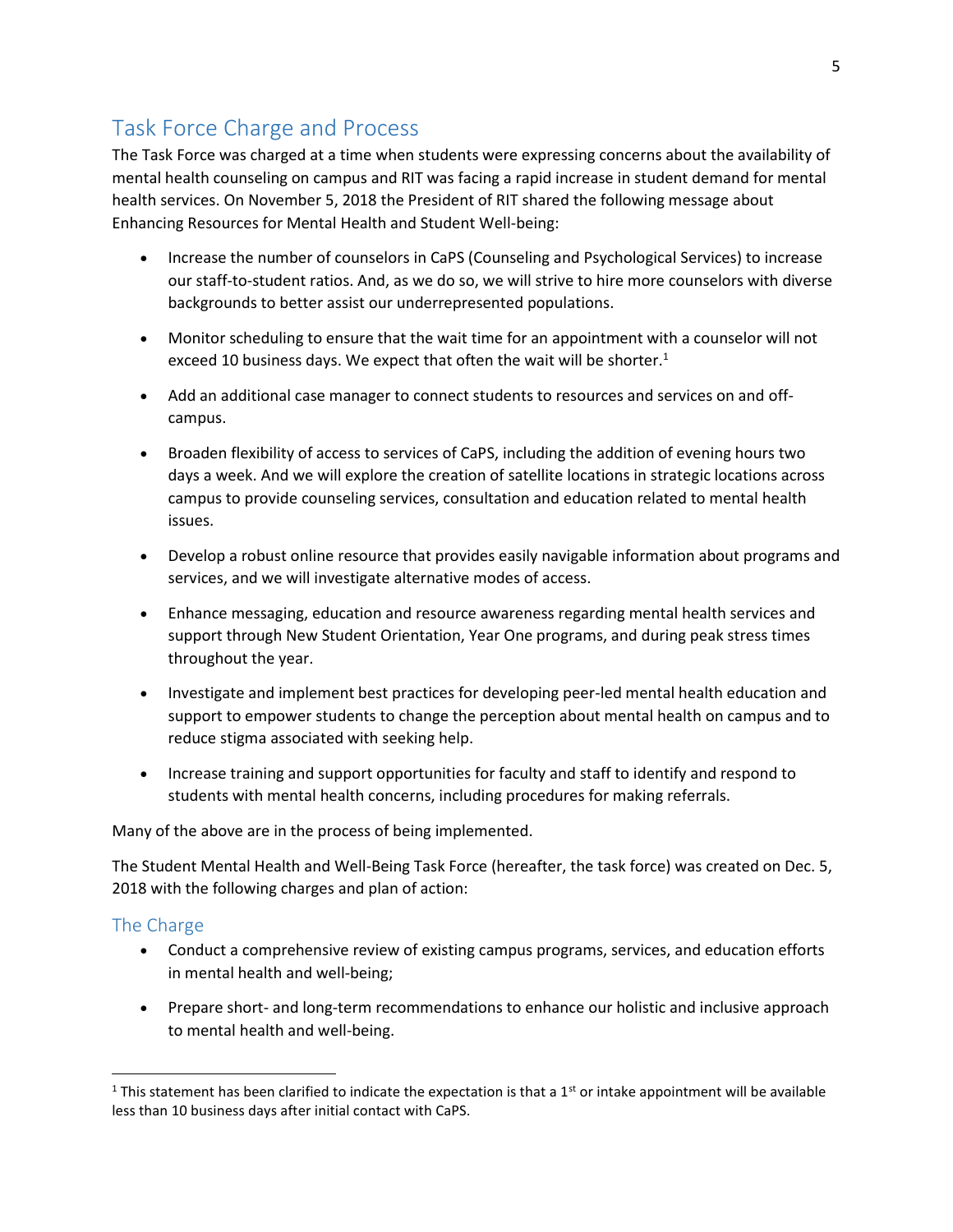# <span id="page-5-0"></span>Task Force Charge and Process

The Task Force was charged at a time when students were expressing concerns about the availability of mental health counseling on campus and RIT was facing a rapid increase in student demand for mental health services. On November 5, 2018 the President of RIT shared the following message about Enhancing Resources for Mental Health and Student Well-being:

- Increase the number of counselors in CaPS (Counseling and Psychological Services) to increase our staff-to-student ratios. And, as we do so, we will strive to hire more counselors with diverse backgrounds to better assist our underrepresented populations.
- Monitor scheduling to ensure that the wait time for an appointment with a counselor will not exceed 10 business days. We expect that often the wait will be shorter.<sup>1</sup>
- Add an additional case manager to connect students to resources and services on and offcampus.
- Broaden flexibility of access to services of CaPS, including the addition of evening hours two days a week. And we will explore the creation of satellite locations in strategic locations across campus to provide counseling services, consultation and education related to mental health issues.
- Develop a robust online resource that provides easily navigable information about programs and services, and we will investigate alternative modes of access.
- Enhance messaging, education and resource awareness regarding mental health services and support through New Student Orientation, Year One programs, and during peak stress times throughout the year.
- Investigate and implement best practices for developing peer-led mental health education and support to empower students to change the perception about mental health on campus and to reduce stigma associated with seeking help.
- Increase training and support opportunities for faculty and staff to identify and respond to students with mental health concerns, including procedures for making referrals.

Many of the above are in the process of being implemented.

The Student Mental Health and Well-Being Task Force (hereafter, the task force) was created on Dec. 5, 2018 with the following charges and plan of action:

#### <span id="page-5-1"></span>The Charge

l

- Conduct a comprehensive review of existing campus programs, services, and education efforts in mental health and well-being;
- Prepare short- and long-term recommendations to enhance our holistic and inclusive approach to mental health and well-being.

<sup>&</sup>lt;sup>1</sup> This statement has been clarified to indicate the expectation is that a 1<sup>st</sup> or intake appointment will be available less than 10 business days after initial contact with CaPS.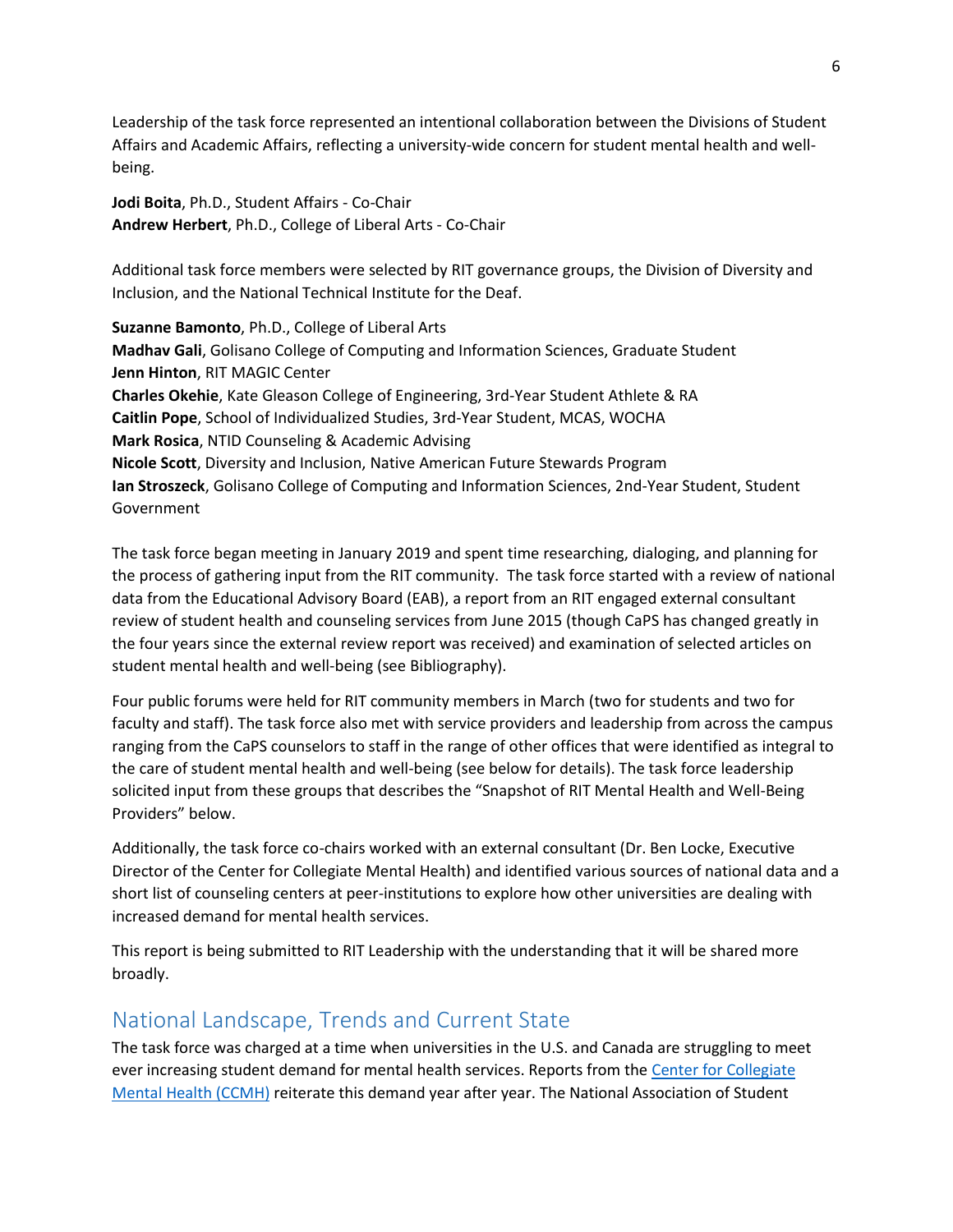Leadership of the task force represented an intentional collaboration between the Divisions of Student Affairs and Academic Affairs, reflecting a university-wide concern for student mental health and wellbeing.

**Jodi Boita**, Ph.D., Student Affairs - Co-Chair **Andrew Herbert**, Ph.D., College of Liberal Arts - Co-Chair

Additional task force members were selected by RIT governance groups, the Division of Diversity and Inclusion, and the National Technical Institute for the Deaf.

**Suzanne Bamonto**, Ph.D., College of Liberal Arts **Madhav Gali**, Golisano College of Computing and Information Sciences, Graduate Student **Jenn Hinton**, RIT MAGIC Center **Charles Okehie**, Kate Gleason College of Engineering, 3rd-Year Student Athlete & RA **Caitlin Pope**, School of Individualized Studies, 3rd-Year Student, MCAS, WOCHA **Mark Rosica**, NTID Counseling & Academic Advising **Nicole Scott**, Diversity and Inclusion, Native American Future Stewards Program **Ian Stroszeck**, Golisano College of Computing and Information Sciences, 2nd-Year Student, Student Government

The task force began meeting in January 2019 and spent time researching, dialoging, and planning for the process of gathering input from the RIT community. The task force started with a review of national data from the Educational Advisory Board (EAB), a report from an RIT engaged external consultant review of student health and counseling services from June 2015 (though CaPS has changed greatly in the four years since the external review report was received) and examination of selected articles on student mental health and well-being (see Bibliography).

Four public forums were held for RIT community members in March (two for students and two for faculty and staff). The task force also met with service providers and leadership from across the campus ranging from the CaPS counselors to staff in the range of other offices that were identified as integral to the care of student mental health and well-being (see below for details). The task force leadership solicited input from these groups that describes the "Snapshot of RIT Mental Health and Well-Being Providers" below.

Additionally, the task force co-chairs worked with an external consultant (Dr. Ben Locke, Executive Director of the Center for Collegiate Mental Health) and identified various sources of national data and a short list of counseling centers at peer-institutions to explore how other universities are dealing with increased demand for mental health services.

This report is being submitted to RIT Leadership with the understanding that it will be shared more broadly.

# <span id="page-6-0"></span>National Landscape, Trends and Current State

The task force was charged at a time when universities in the U.S. and Canada are struggling to meet ever increasing student demand for mental health services. Reports from th[e Center for Collegiate](https://ccmh.psu.edu/publications/)  [Mental Health \(CCMH\)](https://ccmh.psu.edu/publications/) reiterate this demand year after year. The National Association of Student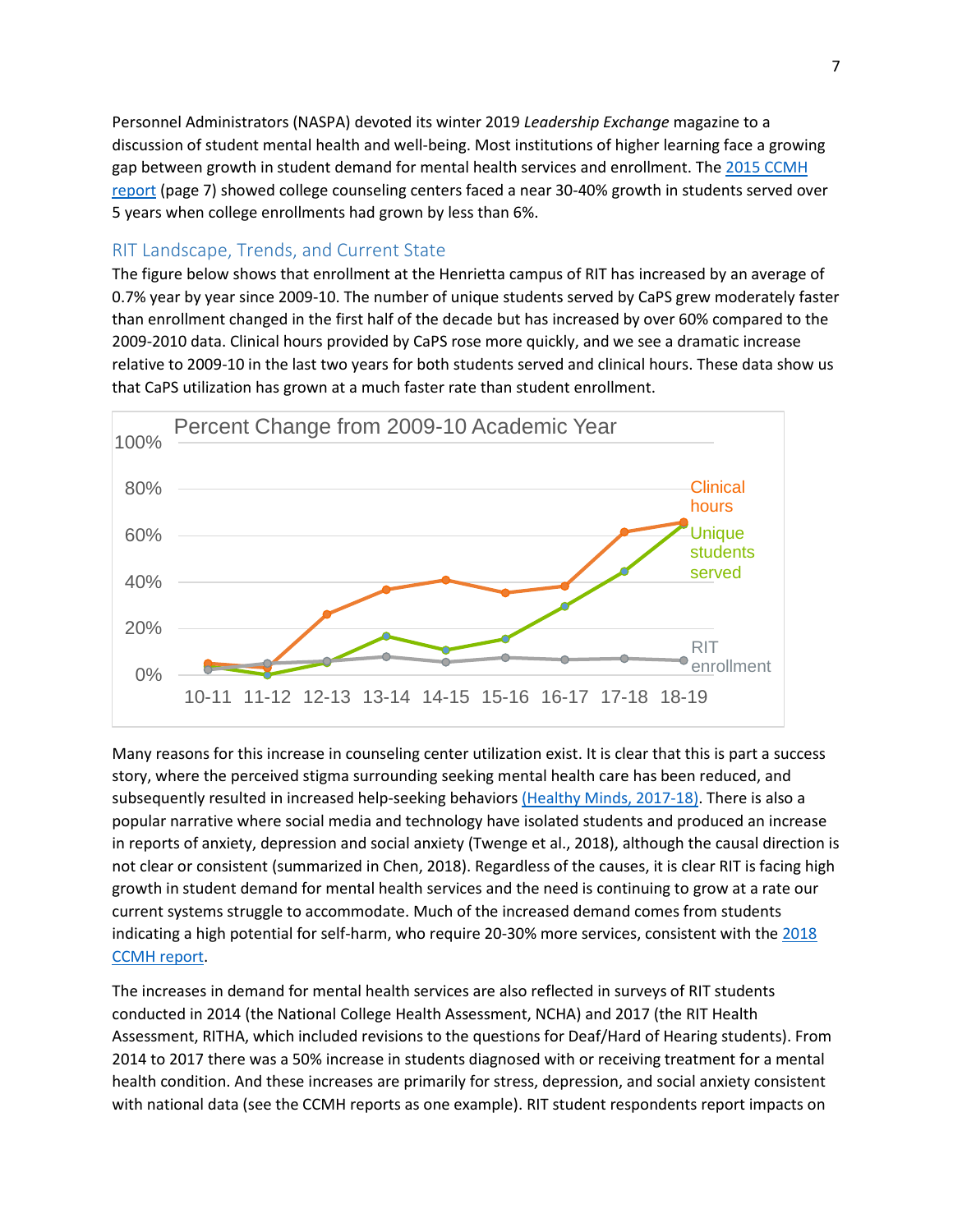Personnel Administrators (NASPA) devoted its winter 2019 *Leadership Exchange* magazine to a discussion of student mental health and well-being. Most institutions of higher learning face a growing gap between growth in student demand for mental health services and enrollment. The [2015 CCMH](https://ccmh.psu.edu/files/2017/10/2015_CCMH_Report_1-18-2015-yq3vik.pdf)  [report](https://ccmh.psu.edu/files/2017/10/2015_CCMH_Report_1-18-2015-yq3vik.pdf) (page 7) showed college counseling centers faced a near 30-40% growth in students served over 5 years when college enrollments had grown by less than 6%.

#### <span id="page-7-0"></span>RIT Landscape, Trends, and Current State

The figure below shows that enrollment at the Henrietta campus of RIT has increased by an average of 0.7% year by year since 2009-10. The number of unique students served by CaPS grew moderately faster than enrollment changed in the first half of the decade but has increased by over 60% compared to the 2009-2010 data. Clinical hours provided by CaPS rose more quickly, and we see a dramatic increase relative to 2009-10 in the last two years for both students served and clinical hours. These data show us that CaPS utilization has grown at a much faster rate than student enrollment.



Many reasons for this increase in counseling center utilization exist. It is clear that this is part a success story, where the perceived stigma surrounding seeking mental health care has been reduced, and subsequently resulted in increased help-seeking behaviors [\(Healthy Minds, 2017-18\).](http://www.healthymindsnetwork.org/system/resources/W1siZiIsIjIwMTgvMTIvMDYvMTBfMDdfMDlfNzI5X0hNU19uYXRpb25hbC5wZGYiXV0/HMS_national.pdf) There is also a popular narrative where social media and technology have isolated students and produced an increase in reports of anxiety, depression and social anxiety (Twenge et al., 2018), although the causal direction is not clear or consistent (summarized in Chen, 2018). Regardless of the causes, it is clear RIT is facing high growth in student demand for mental health services and the need is continuing to grow at a rate our current systems struggle to accommodate. Much of the increased demand comes from students indicating a high potential for self-harm, who require 20-30% more services, consistent with th[e 2018](https://sites.psu.edu/ccmh/files/2019/01/2018-Annual-Report-1.30.19-ziytkb.pdf)  [CCMH report.](https://sites.psu.edu/ccmh/files/2019/01/2018-Annual-Report-1.30.19-ziytkb.pdf)

The increases in demand for mental health services are also reflected in surveys of RIT students conducted in 2014 (the National College Health Assessment, NCHA) and 2017 (the RIT Health Assessment, RITHA, which included revisions to the questions for Deaf/Hard of Hearing students). From 2014 to 2017 there was a 50% increase in students diagnosed with or receiving treatment for a mental health condition. And these increases are primarily for stress, depression, and social anxiety consistent with national data (see the CCMH reports as one example). RIT student respondents report impacts on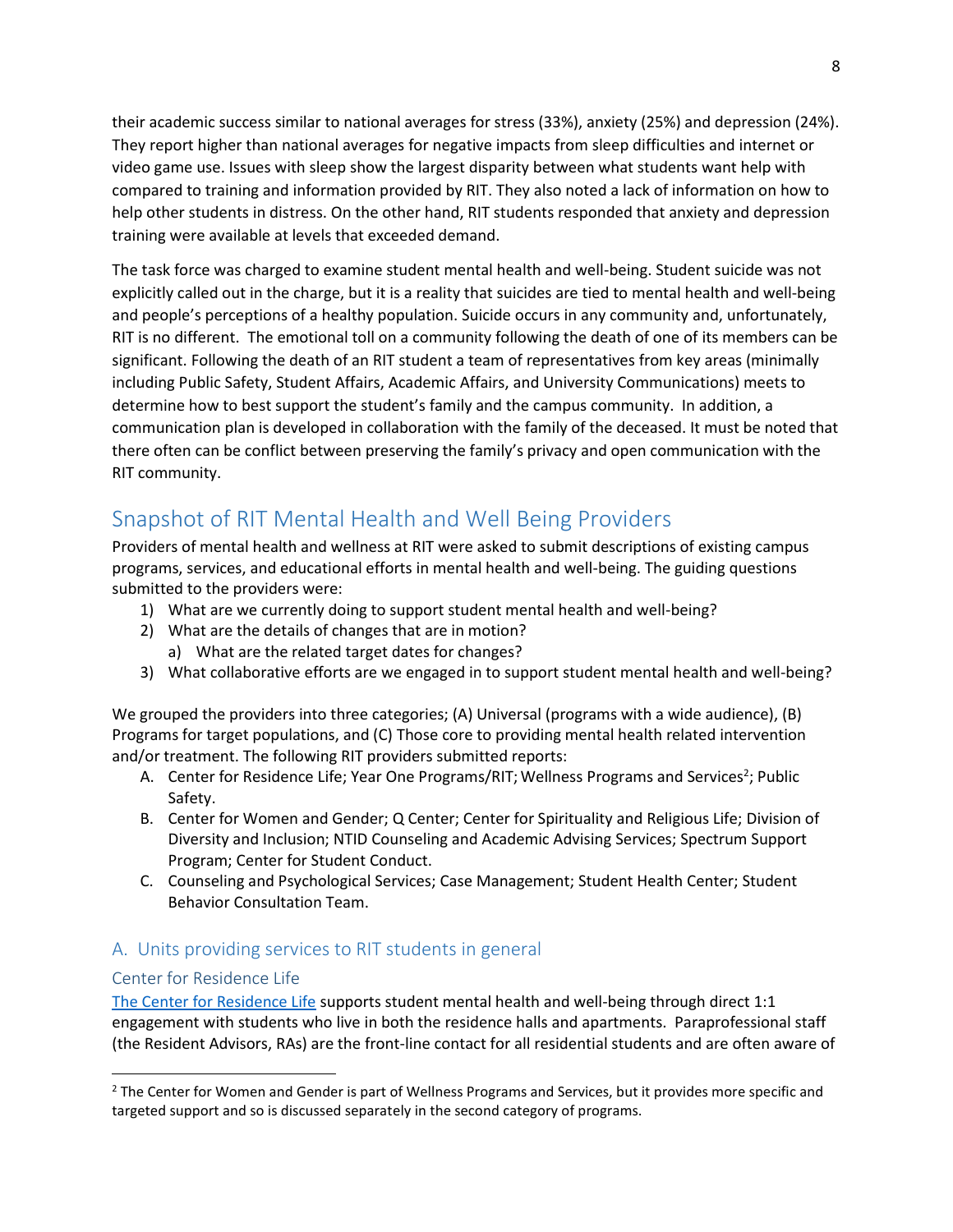their academic success similar to national averages for stress (33%), anxiety (25%) and depression (24%). They report higher than national averages for negative impacts from sleep difficulties and internet or video game use. Issues with sleep show the largest disparity between what students want help with compared to training and information provided by RIT. They also noted a lack of information on how to help other students in distress. On the other hand, RIT students responded that anxiety and depression training were available at levels that exceeded demand.

The task force was charged to examine student mental health and well-being. Student suicide was not explicitly called out in the charge, but it is a reality that suicides are tied to mental health and well-being and people's perceptions of a healthy population. Suicide occurs in any community and, unfortunately, RIT is no different. The emotional toll on a community following the death of one of its members can be significant. Following the death of an RIT student a team of representatives from key areas (minimally including Public Safety, Student Affairs, Academic Affairs, and University Communications) meets to determine how to best support the student's family and the campus community. In addition, a communication plan is developed in collaboration with the family of the deceased. It must be noted that there often can be conflict between preserving the family's privacy and open communication with the RIT community.

# <span id="page-8-0"></span>Snapshot of RIT Mental Health and Well Being Providers

Providers of mental health and wellness at RIT were asked to submit descriptions of existing campus programs, services, and educational efforts in mental health and well-being. The guiding questions submitted to the providers were:

- 1) What are we currently doing to support student mental health and well-being?
- 2) What are the details of changes that are in motion?
	- a) What are the related target dates for changes?
- 3) What collaborative efforts are we engaged in to support student mental health and well-being?

We grouped the providers into three categories; (A) Universal (programs with a wide audience), (B) Programs for target populations, and (C) Those core to providing mental health related intervention and/or treatment. The following RIT providers submitted reports:

- A. Center for Residence Life; Year One Programs/RIT; Wellness Programs and Services<sup>2</sup>; Public Safety.
- B. Center for Women and Gender; Q Center; Center for Spirituality and Religious Life; Division of Diversity and Inclusion; NTID Counseling and Academic Advising Services; Spectrum Support Program; Center for Student Conduct.
- C. Counseling and Psychological Services; Case Management; Student Health Center; Student Behavior Consultation Team.

## <span id="page-8-1"></span>A. Units providing services to RIT students in general

#### Center for Residence Life

l

[The Center for Residence Life](https://www.rit.edu/studentaffairs/reslife/) supports student mental health and well-being through direct 1:1 engagement with students who live in both the residence halls and apartments. Paraprofessional staff (the Resident Advisors, RAs) are the front-line contact for all residential students and are often aware of

<sup>&</sup>lt;sup>2</sup> The Center for Women and Gender is part of Wellness Programs and Services, but it provides more specific and targeted support and so is discussed separately in the second category of programs.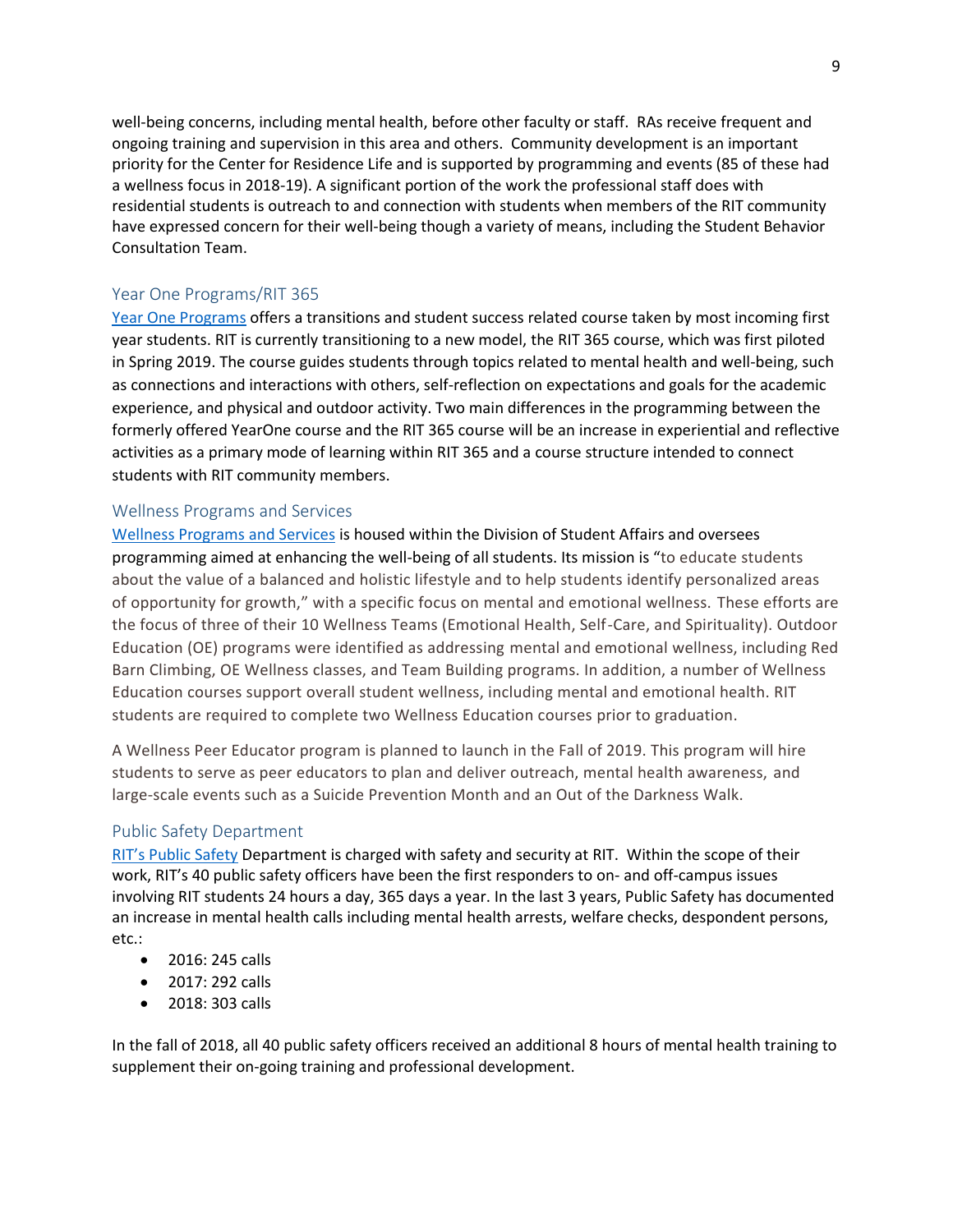well-being concerns, including mental health, before other faculty or staff. RAs receive frequent and ongoing training and supervision in this area and others. Community development is an important priority for the Center for Residence Life and is supported by programming and events (85 of these had a wellness focus in 2018-19). A significant portion of the work the professional staff does with residential students is outreach to and connection with students when members of the RIT community have expressed concern for their well-being though a variety of means, including the Student Behavior Consultation Team.

#### Year One Programs/RIT 365

[Year One Programs](https://www.rit.edu/studentaffairs/yearone/) offers a transitions and student success related course taken by most incoming first year students. RIT is currently transitioning to a new model, the RIT 365 course, which was first piloted in Spring 2019. The course guides students through topics related to mental health and well-being, such as connections and interactions with others, self-reflection on expectations and goals for the academic experience, and physical and outdoor activity. Two main differences in the programming between the formerly offered YearOne course and the RIT 365 course will be an increase in experiential and reflective activities as a primary mode of learning within RIT 365 and a course structure intended to connect students with RIT community members.

#### Wellness Programs and Services

[Wellness Programs and Services](https://www.rit.edu/studentaffairs/wellness/health-promotion-and-education) is housed within the Division of Student Affairs and oversees programming aimed at enhancing the well-being of all students. Its mission is "to educate students about the value of a balanced and holistic lifestyle and to help students identify personalized areas of opportunity for growth," with a specific focus on mental and emotional wellness. These efforts are the focus of three of their 10 Wellness Teams (Emotional Health, Self-Care, and Spirituality). Outdoor Education (OE) programs were identified as addressing mental and emotional wellness, including Red Barn Climbing, OE Wellness classes, and Team Building programs. In addition, a number of Wellness Education courses support overall student wellness, including mental and emotional health. RIT students are required to complete two Wellness Education courses prior to graduation.

A Wellness Peer Educator program is planned to launch in the Fall of 2019. This program will hire students to serve as peer educators to plan and deliver outreach, mental health awareness, and large-scale events such as a Suicide Prevention Month and an Out of the Darkness Walk.

#### Public Safety Department

[RIT's Public Safety](https://www.rit.edu/fa/publicsafety/) Department is charged with safety and security at RIT. Within the scope of their work, RIT's 40 public safety officers have been the first responders to on- and off-campus issues involving RIT students 24 hours a day, 365 days a year. In the last 3 years, Public Safety has documented an increase in mental health calls including mental health arrests, welfare checks, despondent persons, etc.:

- 2016: 245 calls
- 2017: 292 calls
- 2018: 303 calls

In the fall of 2018, all 40 public safety officers received an additional 8 hours of mental health training to supplement their on-going training and professional development.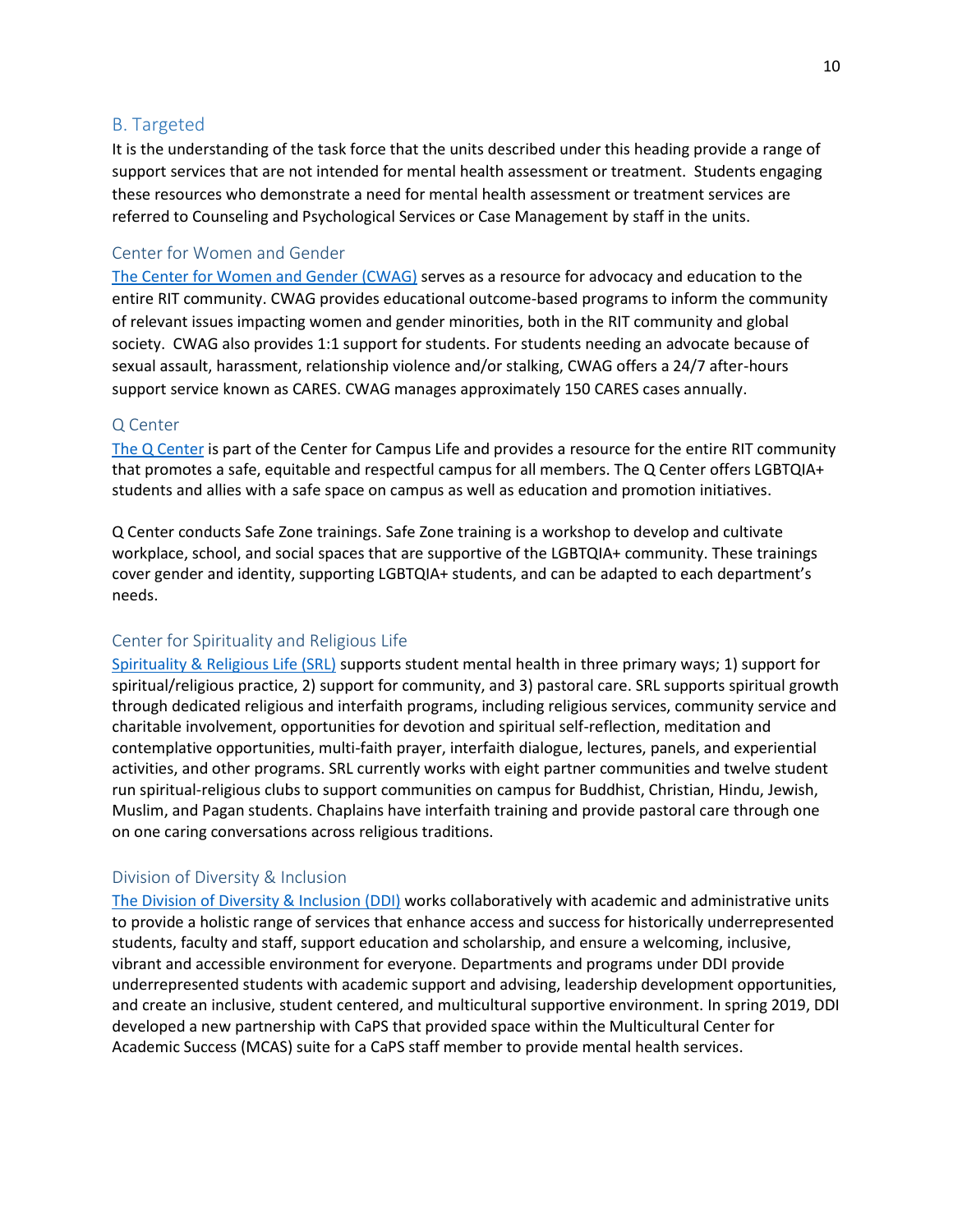#### <span id="page-10-0"></span>B. Targeted

It is the understanding of the task force that the units described under this heading provide a range of support services that are not intended for mental health assessment or treatment. Students engaging these resources who demonstrate a need for mental health assessment or treatment services are referred to Counseling and Psychological Services or Case Management by staff in the units.

#### Center for Women and Gender

[The Center for Women and Gender \(CWAG\)](https://www.rit.edu/studentaffairs/womenandgender/) serves as a resource for advocacy and education to the entire RIT community. CWAG provides educational outcome-based programs to inform the community of relevant issues impacting women and gender minorities, both in the RIT community and global society. CWAG also provides 1:1 support for students. For students needing an advocate because of sexual assault, harassment, relationship violence and/or stalking, CWAG offers a 24/7 after-hours support service known as CARES. CWAG manages approximately 150 CARES cases annually.

#### Q Center

[The Q Center](https://www.rit.edu/studentaffairs/qcenter/index.html) is part of the Center for Campus Life and provides a resource for the entire RIT community that promotes a safe, equitable and respectful campus for all members. The Q Center offers LGBTQIA+ students and allies with a safe space on campus as well as education and promotion initiatives.

Q Center conducts Safe Zone trainings. Safe Zone training is a workshop to develop and cultivate workplace, school, and social spaces that are supportive of the LGBTQIA+ community. These trainings cover gender and identity, supporting LGBTQIA+ students, and can be adapted to each department's needs.

#### Center for Spirituality and Religious Life

[Spirituality & Religious Life \(SRL\)](https://www.rit.edu/studentaffairs/religion/) supports student mental health in three primary ways; 1) support for spiritual/religious practice, 2) support for community, and 3) pastoral care. SRL supports spiritual growth through dedicated religious and interfaith programs, including religious services, community service and charitable involvement, opportunities for devotion and spiritual self-reflection, meditation and contemplative opportunities, multi-faith prayer, interfaith dialogue, lectures, panels, and experiential activities, and other programs. SRL currently works with eight partner communities and twelve student run spiritual-religious clubs to support communities on campus for Buddhist, Christian, Hindu, Jewish, Muslim, and Pagan students. Chaplains have interfaith training and provide pastoral care through one on one caring conversations across religious traditions.

#### Division of Diversity & Inclusion

[The Division of Diversity & Inclusion](https://www.rit.edu/diversity/sites/rit.edu.diversity/files/docs/InclusiveExcellenceFramework.pdf) (DDI) works collaboratively with academic and administrative units to provide a holistic range of services that enhance access and success for historically underrepresented students, faculty and staff, support education and scholarship, and ensure a welcoming, inclusive, vibrant and accessible environment for everyone. Departments and programs under DDI provide underrepresented students with academic support and advising, leadership development opportunities, and create an inclusive, student centered, and multicultural supportive environment. In spring 2019, DDI developed a new partnership with CaPS that provided space within the Multicultural Center for Academic Success (MCAS) suite for a CaPS staff member to provide mental health services.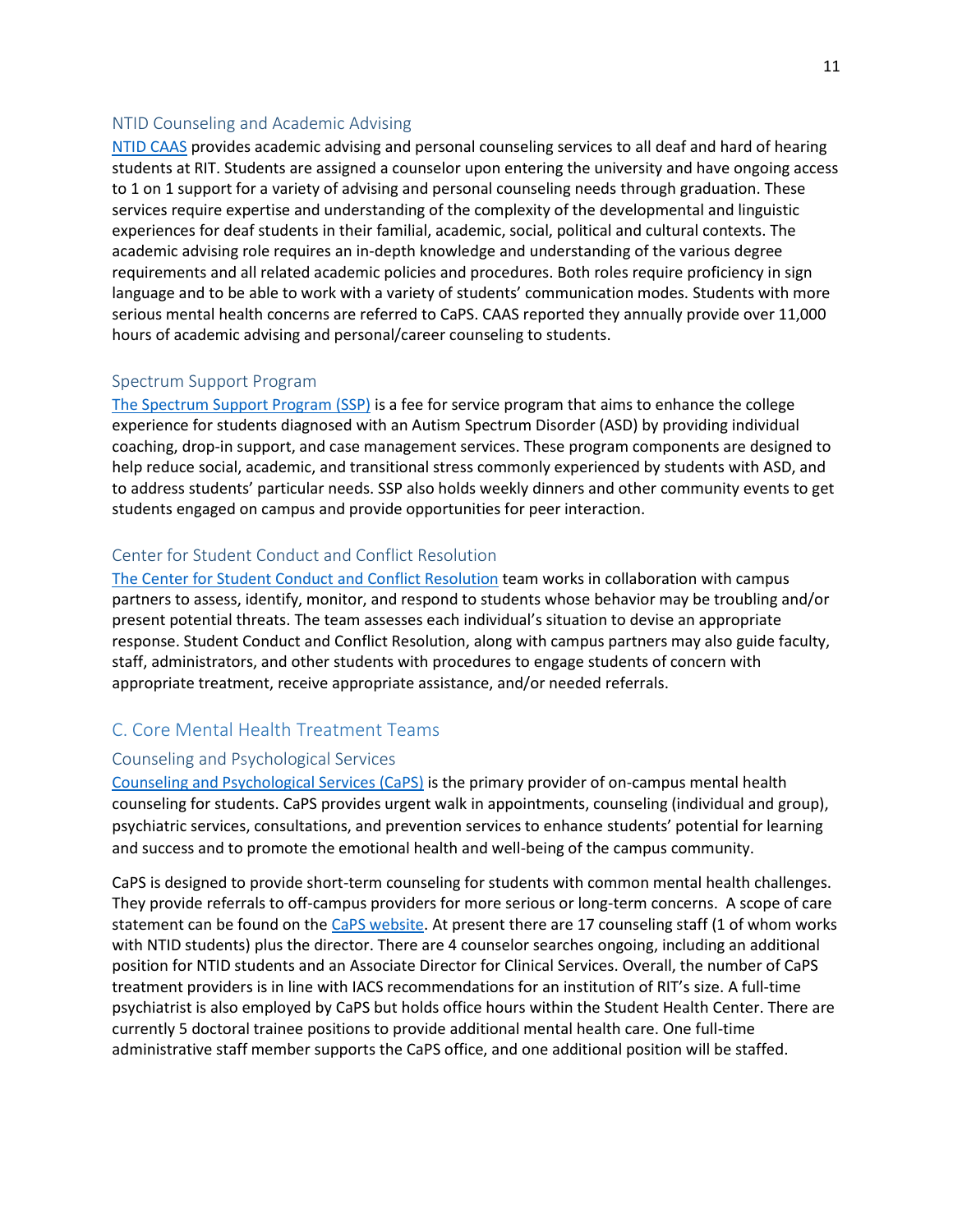#### NTID Counseling and Academic Advising

[NTID CAAS](https://www.ntid.rit.edu/caas) provides academic advising and personal counseling services to all deaf and hard of hearing students at RIT. Students are assigned a counselor upon entering the university and have ongoing access to 1 on 1 support for a variety of advising and personal counseling needs through graduation. These services require expertise and understanding of the complexity of the developmental and linguistic experiences for deaf students in their familial, academic, social, political and cultural contexts. The academic advising role requires an in-depth knowledge and understanding of the various degree requirements and all related academic policies and procedures. Both roles require proficiency in sign language and to be able to work with a variety of students' communication modes. Students with more serious mental health concerns are referred to CaPS. CAAS reported they annually provide over 11,000 hours of academic advising and personal/career counseling to students.

#### Spectrum Support Program

[The Spectrum Support Program \(SSP\)](https://www.ntid.rit.edu/caas) is a fee for service program that aims to enhance the college experience for students diagnosed with an Autism Spectrum Disorder (ASD) by providing individual coaching, drop-in support, and case management services. These program components are designed to help reduce social, academic, and transitional stress commonly experienced by students with ASD, and to address students' particular needs. SSP also holds weekly dinners and other community events to get students engaged on campus and provide opportunities for peer interaction.

#### Center for Student Conduct and Conflict Resolution

[The Center for Student Conduct and Conflict Resolution](https://www.rit.edu/studentaffairs/studentconduct/) team works in collaboration with campus partners to assess, identify, monitor, and respond to students whose behavior may be troubling and/or present potential threats. The team assesses each individual's situation to devise an appropriate response. Student Conduct and Conflict Resolution, along with campus partners may also guide faculty, staff, administrators, and other students with procedures to engage students of concern with appropriate treatment, receive appropriate assistance, and/or needed referrals.

#### <span id="page-11-0"></span>C. Core Mental Health Treatment Teams

#### Counseling and Psychological Services

[Counseling and Psychological Services \(CaPS\)](https://www.rit.edu/studentaffairs/counseling/about-us/scope-care) is the primary provider of on-campus mental health counseling for students. CaPS provides urgent walk in appointments, counseling (individual and group), psychiatric services, consultations, and prevention services to enhance students' potential for learning and success and to promote the emotional health and well-being of the campus community.

CaPS is designed to provide short-term counseling for students with common mental health challenges. They provide referrals to off-campus providers for more serious or long-term concerns. A scope of care statement can be found on the [CaPS website.](https://www.rit.edu/studentaffairs/counseling/about-us/scope-care) At present there are 17 counseling staff (1 of whom works with NTID students) plus the director. There are 4 counselor searches ongoing, including an additional position for NTID students and an Associate Director for Clinical Services. Overall, the number of CaPS treatment providers is in line with IACS recommendations for an institution of RIT's size. A full-time psychiatrist is also employed by CaPS but holds office hours within the Student Health Center. There are currently 5 doctoral trainee positions to provide additional mental health care. One full-time administrative staff member supports the CaPS office, and one additional position will be staffed.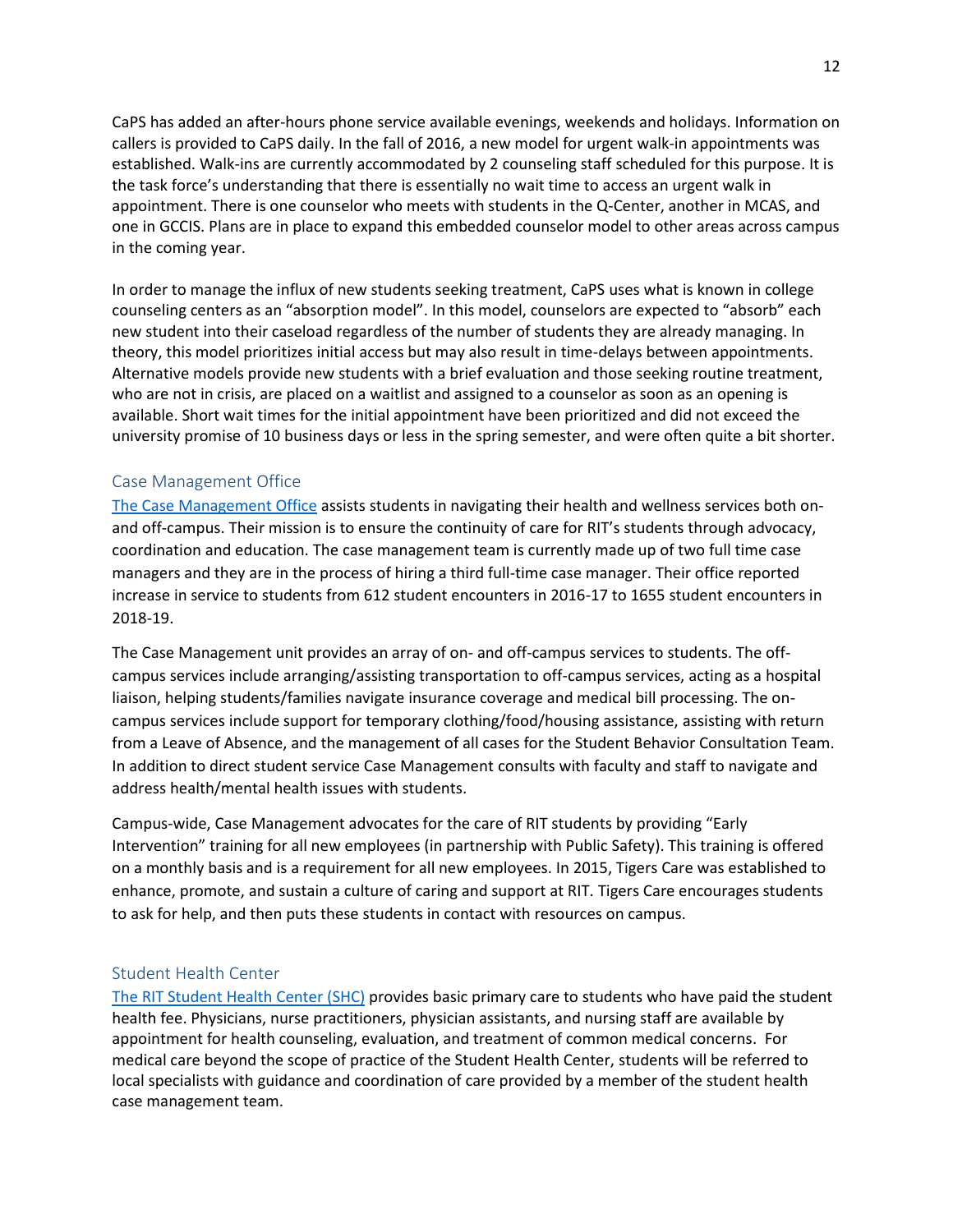CaPS has added an after-hours phone service available evenings, weekends and holidays. Information on callers is provided to CaPS daily. In the fall of 2016, a new model for urgent walk-in appointments was established. Walk-ins are currently accommodated by 2 counseling staff scheduled for this purpose. It is the task force's understanding that there is essentially no wait time to access an urgent walk in appointment. There is one counselor who meets with students in the Q-Center, another in MCAS, and one in GCCIS. Plans are in place to expand this embedded counselor model to other areas across campus in the coming year.

In order to manage the influx of new students seeking treatment, CaPS uses what is known in college counseling centers as an "absorption model". In this model, counselors are expected to "absorb" each new student into their caseload regardless of the number of students they are already managing. In theory, this model prioritizes initial access but may also result in time-delays between appointments. Alternative models provide new students with a brief evaluation and those seeking routine treatment, who are not in crisis, are placed on a waitlist and assigned to a counselor as soon as an opening is available. Short wait times for the initial appointment have been prioritized and did not exceed the university promise of 10 business days or less in the spring semester, and were often quite a bit shorter.

#### Case Management Office

[The Case Management Office](https://www.rit.edu/studentaffairs/wellness/case-management) assists students in navigating their health and wellness services both onand off-campus. Their mission is to ensure the continuity of care for RIT's students through advocacy, coordination and education. The case management team is currently made up of two full time case managers and they are in the process of hiring a third full-time case manager. Their office reported increase in service to students from 612 student encounters in 2016-17 to 1655 student encounters in 2018-19.

The Case Management unit provides an array of on- and off-campus services to students. The offcampus services include arranging/assisting transportation to off-campus services, acting as a hospital liaison, helping students/families navigate insurance coverage and medical bill processing. The oncampus services include support for temporary clothing/food/housing assistance, assisting with return from a Leave of Absence, and the management of all cases for the Student Behavior Consultation Team. In addition to direct student service Case Management consults with faculty and staff to navigate and address health/mental health issues with students.

Campus-wide, Case Management advocates for the care of RIT students by providing "Early Intervention" training for all new employees (in partnership with Public Safety). This training is offered on a monthly basis and is a requirement for all new employees. In 2015, Tigers Care was established to enhance, promote, and sustain a culture of caring and support at RIT. Tigers Care encourages students to ask for help, and then puts these students in contact with resources on campus.

#### Student Health Center

[The RIT Student Health Center \(SHC\)](https://www.rit.edu/studentaffairs/studenthealth/) provides basic primary care to students who have paid the student health fee. Physicians, nurse practitioners, physician assistants, and nursing staff are available by appointment for health counseling, evaluation, and treatment of common medical concerns. For medical care beyond the scope of practice of the Student Health Center, students will be referred to local specialists with guidance and coordination of care provided by a member of the student health case management team.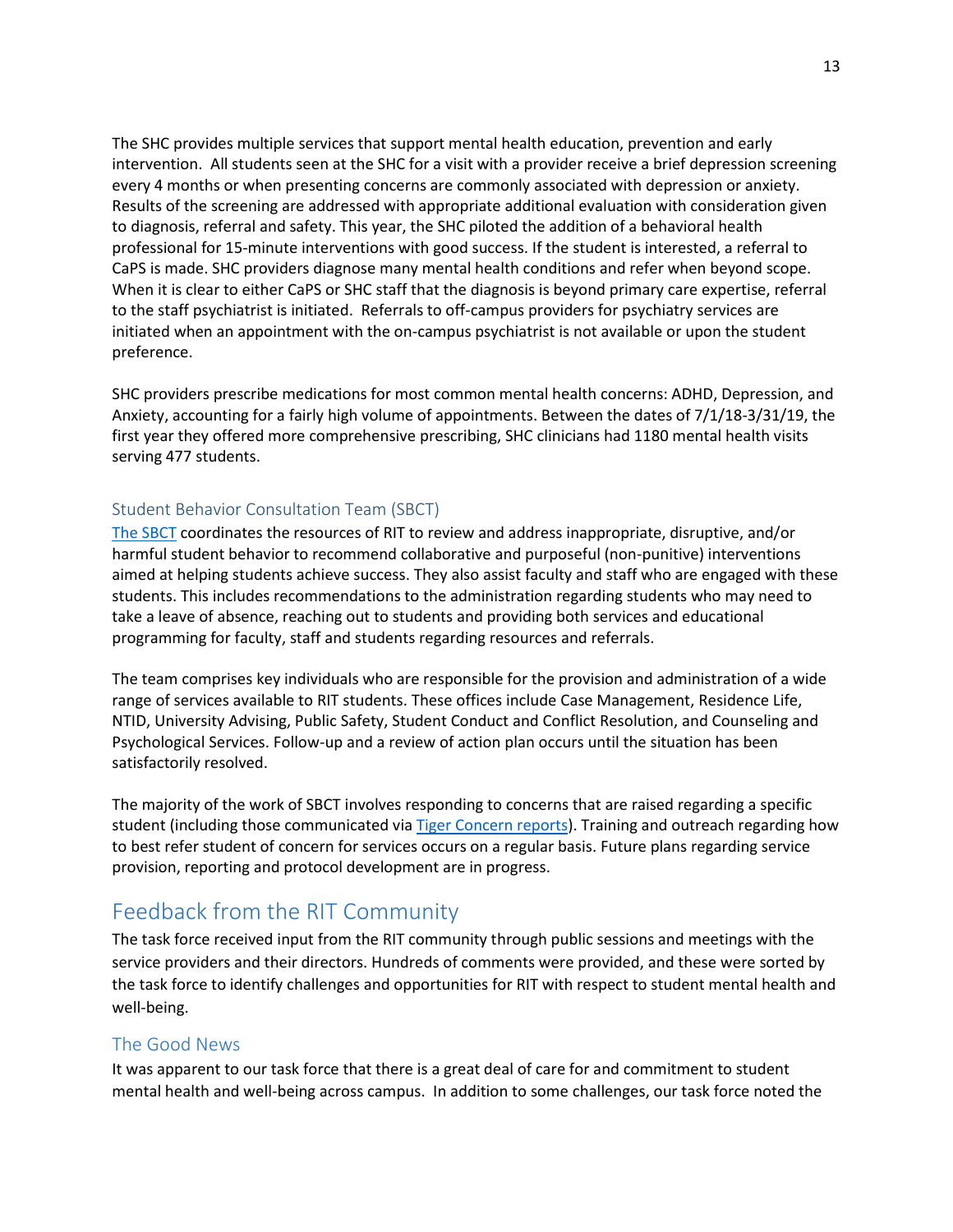The SHC provides multiple services that support mental health education, prevention and early intervention. All students seen at the SHC for a visit with a provider receive a brief depression screening every 4 months or when presenting concerns are commonly associated with depression or anxiety. Results of the screening are addressed with appropriate additional evaluation with consideration given to diagnosis, referral and safety. This year, the SHC piloted the addition of a behavioral health professional for 15-minute interventions with good success. If the student is interested, a referral to CaPS is made. SHC providers diagnose many mental health conditions and refer when beyond scope. When it is clear to either CaPS or SHC staff that the diagnosis is beyond primary care expertise, referral to the staff psychiatrist is initiated. Referrals to off-campus providers for psychiatry services are initiated when an appointment with the on-campus psychiatrist is not available or upon the student preference.

SHC providers prescribe medications for most common mental health concerns: ADHD, Depression, and Anxiety, accounting for a fairly high volume of appointments. Between the dates of 7/1/18-3/31/19, the first year they offered more comprehensive prescribing, SHC clinicians had 1180 mental health visits serving 477 students.

#### Student Behavior Consultation Team (SBCT)

[The SBCT](https://www.rit.edu/studentaffairs/student-life/student-behavior-consultation-team-sbct) coordinates the resources of RIT to review and address inappropriate, disruptive, and/or harmful student behavior to recommend collaborative and purposeful (non-punitive) interventions aimed at helping students achieve success. They also assist faculty and staff who are engaged with these students. This includes recommendations to the administration regarding students who may need to take a leave of absence, reaching out to students and providing both services and educational programming for faculty, staff and students regarding resources and referrals.

The team comprises key individuals who are responsible for the provision and administration of a wide range of services available to RIT students. These offices include Case Management, Residence Life, NTID, University Advising, Public Safety, Student Conduct and Conflict Resolution, and Counseling and Psychological Services. Follow-up and a review of action plan occurs until the situation has been satisfactorily resolved.

The majority of the work of SBCT involves responding to concerns that are raised regarding a specific student (including those communicated via Tiger [Concern](https://cm.maxient.com/reportingform.php?RochesterInstofTech&layout_id=3) reports). Training and outreach regarding how to best refer student of concern for services occurs on a regular basis. Future plans regarding service provision, reporting and protocol development are in progress.

# <span id="page-13-0"></span>Feedback from the RIT Community

The task force received input from the RIT community through public sessions and meetings with the service providers and their directors. Hundreds of comments were provided, and these were sorted by the task force to identify challenges and opportunities for RIT with respect to student mental health and well-being.

#### <span id="page-13-1"></span>The Good News

It was apparent to our task force that there is a great deal of care for and commitment to student mental health and well-being across campus. In addition to some challenges, our task force noted the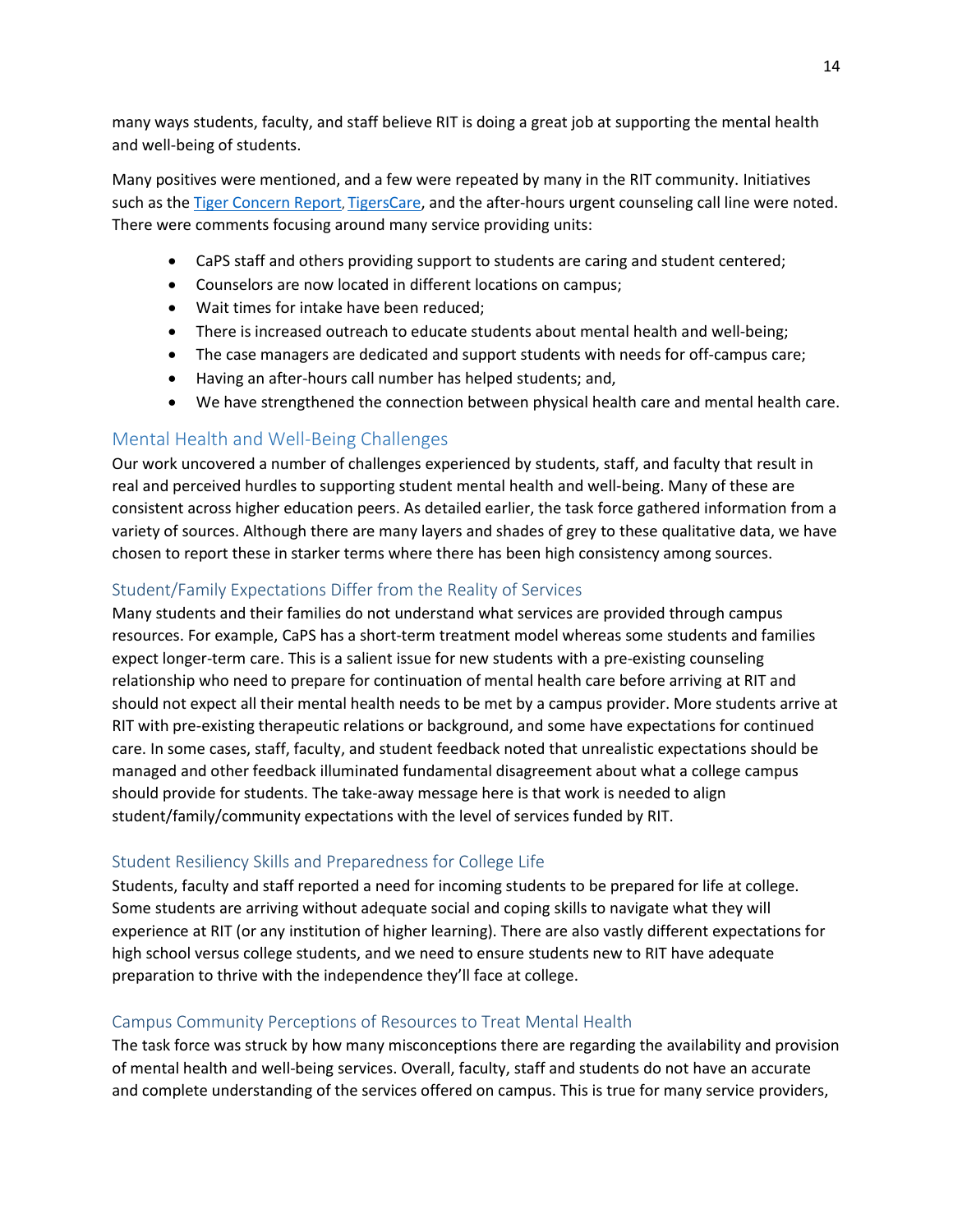many ways students, faculty, and staff believe RIT is doing a great job at supporting the mental health and well-being of students.

Many positives were mentioned, and a few were repeated by many in the RIT community. Initiatives such as th[e Tiger Concern Report](https://cm.maxient.com/reportingform.php?RochesterInstofTech&layout_id=3), [TigersCare,](https://www.rit.edu/studentaffairs/tigerscare/) and the after-hours urgent counseling call line were noted. There were comments focusing around many service providing units:

- CaPS staff and others providing support to students are caring and student centered;
- Counselors are now located in different locations on campus;
- Wait times for intake have been reduced;
- There is increased outreach to educate students about mental health and well-being;
- The case managers are dedicated and support students with needs for off-campus care;
- Having an after-hours call number has helped students; and,
- We have strengthened the connection between physical health care and mental health care.

## <span id="page-14-0"></span>Mental Health and Well-Being Challenges

Our work uncovered a number of challenges experienced by students, staff, and faculty that result in real and perceived hurdles to supporting student mental health and well-being. Many of these are consistent across higher education peers. As detailed earlier, the task force gathered information from a variety of sources. Although there are many layers and shades of grey to these qualitative data, we have chosen to report these in starker terms where there has been high consistency among sources.

#### Student/Family Expectations Differ from the Reality of Services

Many students and their families do not understand what services are provided through campus resources. For example, CaPS has a short-term treatment model whereas some students and families expect longer-term care. This is a salient issue for new students with a pre-existing counseling relationship who need to prepare for continuation of mental health care before arriving at RIT and should not expect all their mental health needs to be met by a campus provider. More students arrive at RIT with pre-existing therapeutic relations or background, and some have expectations for continued care. In some cases, staff, faculty, and student feedback noted that unrealistic expectations should be managed and other feedback illuminated fundamental disagreement about what a college campus should provide for students. The take-away message here is that work is needed to align student/family/community expectations with the level of services funded by RIT.

#### Student Resiliency Skills and Preparedness for College Life

Students, faculty and staff reported a need for incoming students to be prepared for life at college. Some students are arriving without adequate social and coping skills to navigate what they will experience at RIT (or any institution of higher learning). There are also vastly different expectations for high school versus college students, and we need to ensure students new to RIT have adequate preparation to thrive with the independence they'll face at college.

#### Campus Community Perceptions of Resources to Treat Mental Health

The task force was struck by how many misconceptions there are regarding the availability and provision of mental health and well-being services. Overall, faculty, staff and students do not have an accurate and complete understanding of the services offered on campus. This is true for many service providers,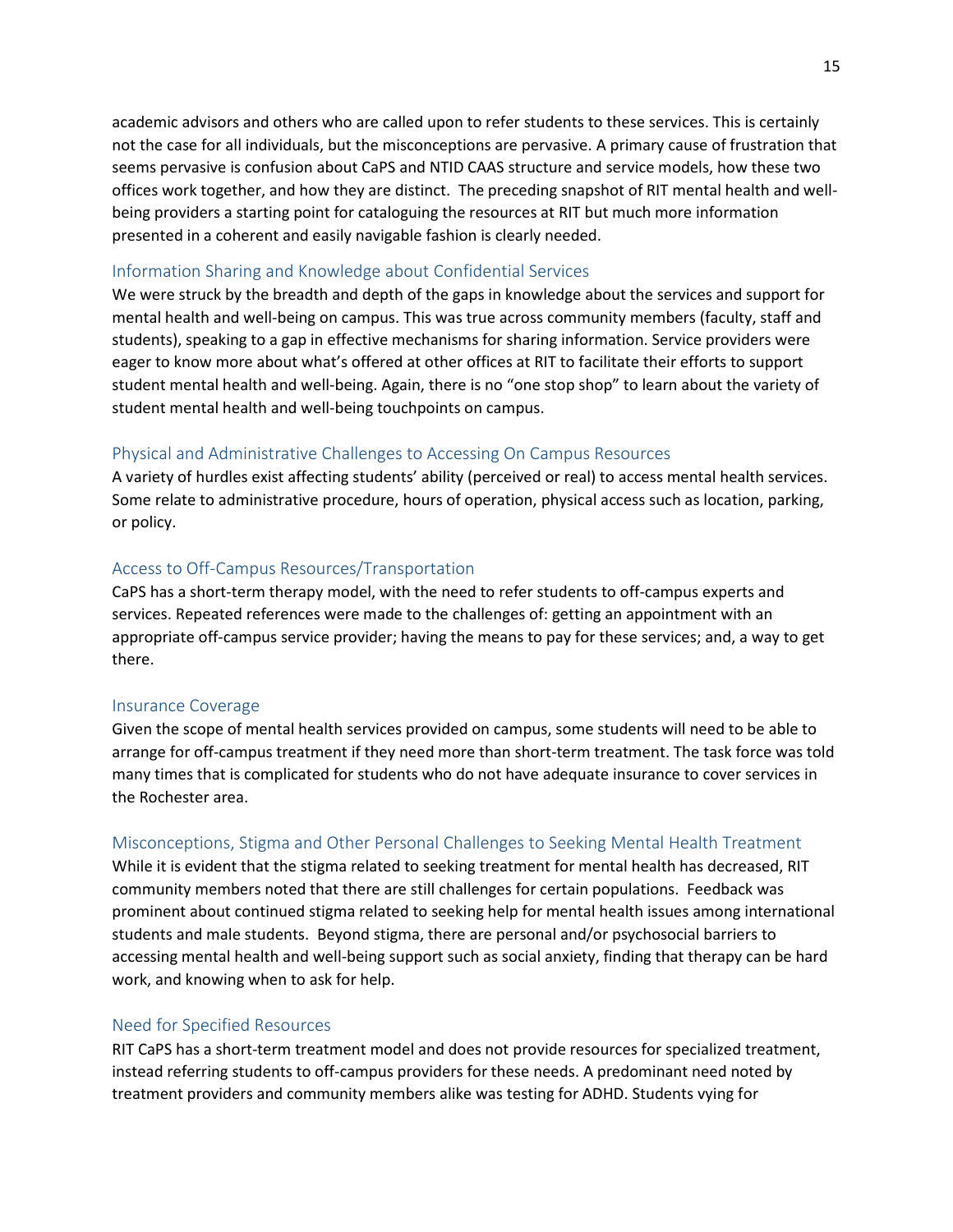academic advisors and others who are called upon to refer students to these services. This is certainly not the case for all individuals, but the misconceptions are pervasive. A primary cause of frustration that seems pervasive is confusion about CaPS and NTID CAAS structure and service models, how these two offices work together, and how they are distinct. The preceding snapshot of RIT mental health and wellbeing providers a starting point for cataloguing the resources at RIT but much more information presented in a coherent and easily navigable fashion is clearly needed.

#### Information Sharing and Knowledge about Confidential Services

We were struck by the breadth and depth of the gaps in knowledge about the services and support for mental health and well-being on campus. This was true across community members (faculty, staff and students), speaking to a gap in effective mechanisms for sharing information. Service providers were eager to know more about what's offered at other offices at RIT to facilitate their efforts to support student mental health and well-being. Again, there is no "one stop shop" to learn about the variety of student mental health and well-being touchpoints on campus.

#### Physical and Administrative Challenges to Accessing On Campus Resources

A variety of hurdles exist affecting students' ability (perceived or real) to access mental health services. Some relate to administrative procedure, hours of operation, physical access such as location, parking, or policy.

#### Access to Off-Campus Resources/Transportation

CaPS has a short-term therapy model, with the need to refer students to off-campus experts and services. Repeated references were made to the challenges of: getting an appointment with an appropriate off-campus service provider; having the means to pay for these services; and, a way to get there.

#### Insurance Coverage

Given the scope of mental health services provided on campus, some students will need to be able to arrange for off-campus treatment if they need more than short-term treatment. The task force was told many times that is complicated for students who do not have adequate insurance to cover services in the Rochester area.

#### Misconceptions, Stigma and Other Personal Challenges to Seeking Mental Health Treatment

While it is evident that the stigma related to seeking treatment for mental health has decreased, RIT community members noted that there are still challenges for certain populations. Feedback was prominent about continued stigma related to seeking help for mental health issues among international students and male students. Beyond stigma, there are personal and/or psychosocial barriers to accessing mental health and well-being support such as social anxiety, finding that therapy can be hard work, and knowing when to ask for help.

#### Need for Specified Resources

RIT CaPS has a short-term treatment model and does not provide resources for specialized treatment, instead referring students to off-campus providers for these needs. A predominant need noted by treatment providers and community members alike was testing for ADHD. Students vying for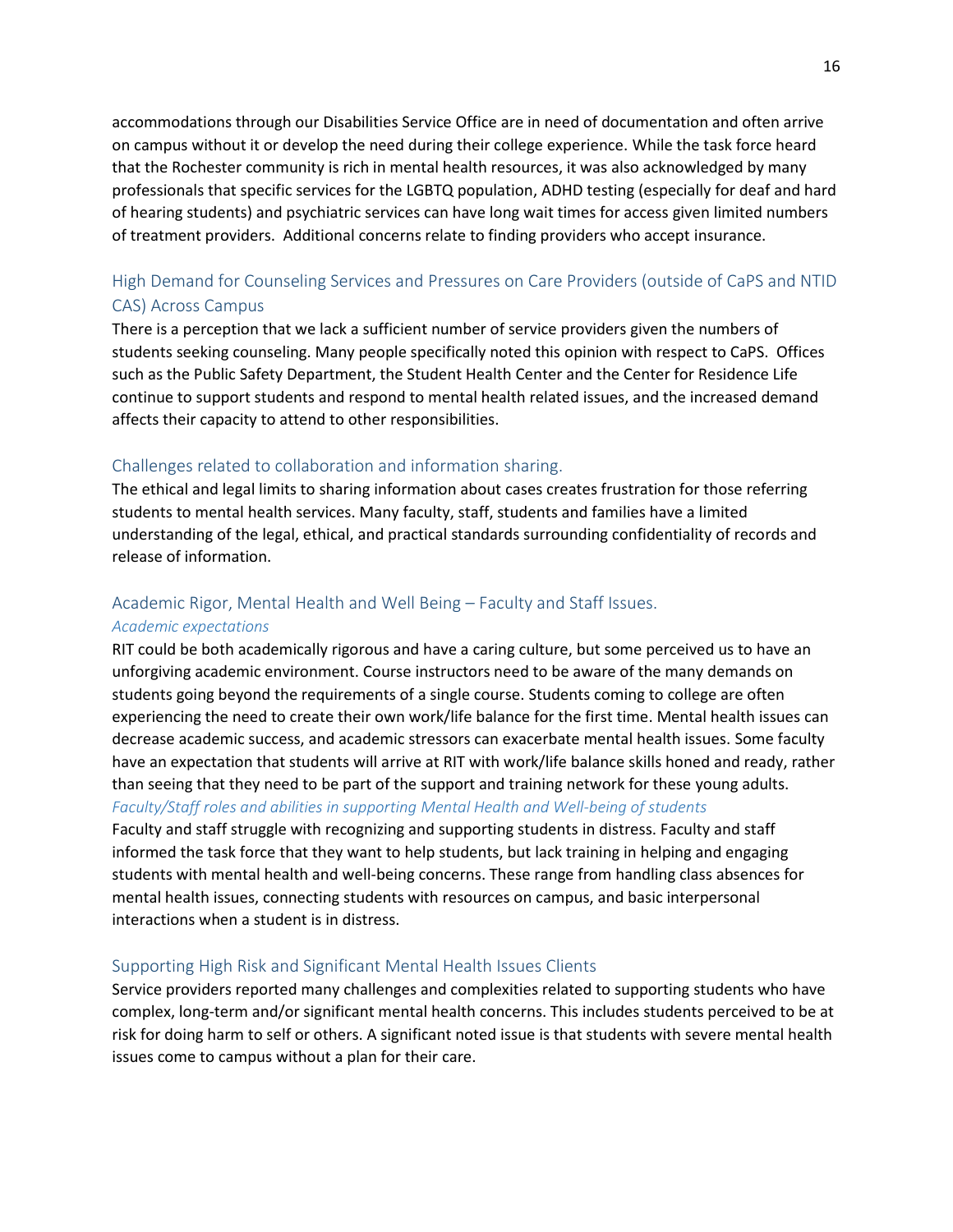accommodations through our Disabilities Service Office are in need of documentation and often arrive on campus without it or develop the need during their college experience. While the task force heard that the Rochester community is rich in mental health resources, it was also acknowledged by many professionals that specific services for the LGBTQ population, ADHD testing (especially for deaf and hard of hearing students) and psychiatric services can have long wait times for access given limited numbers of treatment providers. Additional concerns relate to finding providers who accept insurance.

## High Demand for Counseling Services and Pressures on Care Providers (outside of CaPS and NTID CAS) Across Campus

There is a perception that we lack a sufficient number of service providers given the numbers of students seeking counseling. Many people specifically noted this opinion with respect to CaPS. Offices such as the Public Safety Department, the Student Health Center and the Center for Residence Life continue to support students and respond to mental health related issues, and the increased demand affects their capacity to attend to other responsibilities.

#### Challenges related to collaboration and information sharing.

The ethical and legal limits to sharing information about cases creates frustration for those referring students to mental health services. Many faculty, staff, students and families have a limited understanding of the legal, ethical, and practical standards surrounding confidentiality of records and release of information.

# Academic Rigor, Mental Health and Well Being – Faculty and Staff Issues.

#### *Academic expectations*

RIT could be both academically rigorous and have a caring culture, but some perceived us to have an unforgiving academic environment. Course instructors need to be aware of the many demands on students going beyond the requirements of a single course. Students coming to college are often experiencing the need to create their own work/life balance for the first time. Mental health issues can decrease academic success, and academic stressors can exacerbate mental health issues. Some faculty have an expectation that students will arrive at RIT with work/life balance skills honed and ready, rather than seeing that they need to be part of the support and training network for these young adults.

#### *Faculty/Staff roles and abilities in supporting Mental Health and Well-being of students*

Faculty and staff struggle with recognizing and supporting students in distress. Faculty and staff informed the task force that they want to help students, but lack training in helping and engaging students with mental health and well-being concerns. These range from handling class absences for mental health issues, connecting students with resources on campus, and basic interpersonal interactions when a student is in distress.

#### Supporting High Risk and Significant Mental Health Issues Clients

Service providers reported many challenges and complexities related to supporting students who have complex, long-term and/or significant mental health concerns. This includes students perceived to be at risk for doing harm to self or others. A significant noted issue is that students with severe mental health issues come to campus without a plan for their care.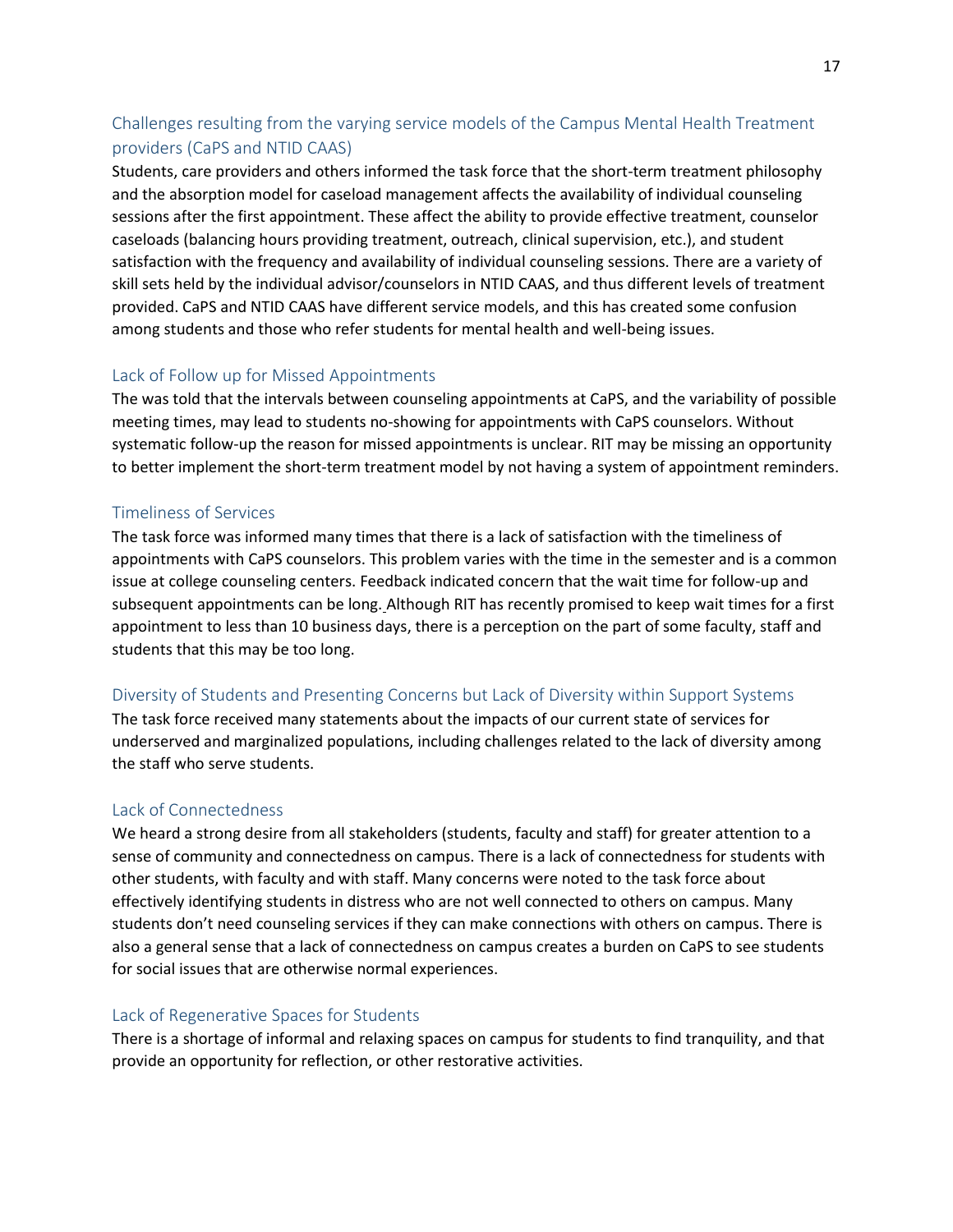## Challenges resulting from the varying service models of the Campus Mental Health Treatment providers (CaPS and NTID CAAS)

Students, care providers and others informed the task force that the short-term treatment philosophy and the absorption model for caseload management affects the availability of individual counseling sessions after the first appointment. These affect the ability to provide effective treatment, counselor caseloads (balancing hours providing treatment, outreach, clinical supervision, etc.), and student satisfaction with the frequency and availability of individual counseling sessions. There are a variety of skill sets held by the individual advisor/counselors in NTID CAAS, and thus different levels of treatment provided. CaPS and NTID CAAS have different service models, and this has created some confusion among students and those who refer students for mental health and well-being issues.

## Lack of Follow up for Missed Appointments

The was told that the intervals between counseling appointments at CaPS, and the variability of possible meeting times, may lead to students no-showing for appointments with CaPS counselors. Without systematic follow-up the reason for missed appointments is unclear. RIT may be missing an opportunity to better implement the short-term treatment model by not having a system of appointment reminders.

#### Timeliness of Services

The task force was informed many times that there is a lack of satisfaction with the timeliness of appointments with CaPS counselors. This problem varies with the time in the semester and is a common issue at college counseling centers. Feedback indicated concern that the wait time for follow-up and subsequent appointments can be long. Although RIT has recently promised to keep wait times for a first appointment to less than 10 business days, there is a perception on the part of some faculty, staff and students that this may be too long.

#### Diversity of Students and Presenting Concerns but Lack of Diversity within Support Systems

The task force received many statements about the impacts of our current state of services for underserved and marginalized populations, including challenges related to the lack of diversity among the staff who serve students.

#### Lack of Connectedness

We heard a strong desire from all stakeholders (students, faculty and staff) for greater attention to a sense of community and connectedness on campus. There is a lack of connectedness for students with other students, with faculty and with staff. Many concerns were noted to the task force about effectively identifying students in distress who are not well connected to others on campus. Many students don't need counseling services if they can make connections with others on campus. There is also a general sense that a lack of connectedness on campus creates a burden on CaPS to see students for social issues that are otherwise normal experiences.

#### Lack of Regenerative Spaces for Students

There is a shortage of informal and relaxing spaces on campus for students to find tranquility, and that provide an opportunity for reflection, or other restorative activities.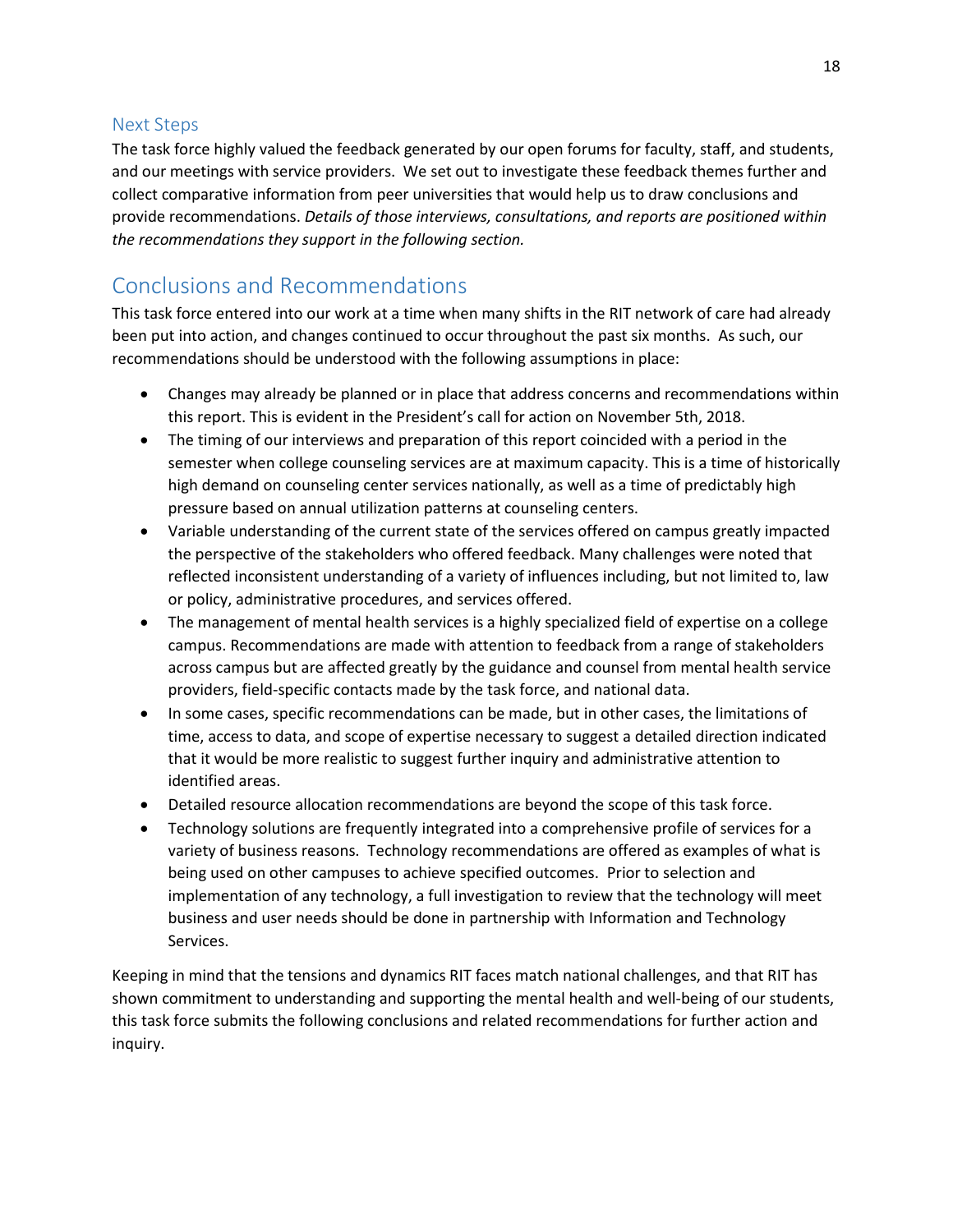## <span id="page-18-0"></span>Next Steps

The task force highly valued the feedback generated by our open forums for faculty, staff, and students, and our meetings with service providers. We set out to investigate these feedback themes further and collect comparative information from peer universities that would help us to draw conclusions and provide recommendations. *Details of those interviews, consultations, and reports are positioned within the recommendations they support in the following section.*

# <span id="page-18-1"></span>Conclusions and Recommendations

This task force entered into our work at a time when many shifts in the RIT network of care had already been put into action, and changes continued to occur throughout the past six months. As such, our recommendations should be understood with the following assumptions in place:

- Changes may already be planned or in place that address concerns and recommendations within this report. This is evident in the President's call for action on November 5th, 2018.
- The timing of our interviews and preparation of this report coincided with a period in the semester when college counseling services are at maximum capacity. This is a time of historically high demand on counseling center services nationally, as well as a time of predictably high pressure based on annual utilization patterns at counseling centers.
- Variable understanding of the current state of the services offered on campus greatly impacted the perspective of the stakeholders who offered feedback. Many challenges were noted that reflected inconsistent understanding of a variety of influences including, but not limited to, law or policy, administrative procedures, and services offered.
- The management of mental health services is a highly specialized field of expertise on a college campus. Recommendations are made with attention to feedback from a range of stakeholders across campus but are affected greatly by the guidance and counsel from mental health service providers, field-specific contacts made by the task force, and national data.
- In some cases, specific recommendations can be made, but in other cases, the limitations of time, access to data, and scope of expertise necessary to suggest a detailed direction indicated that it would be more realistic to suggest further inquiry and administrative attention to identified areas.
- Detailed resource allocation recommendations are beyond the scope of this task force.
- Technology solutions are frequently integrated into a comprehensive profile of services for a variety of business reasons. Technology recommendations are offered as examples of what is being used on other campuses to achieve specified outcomes. Prior to selection and implementation of any technology, a full investigation to review that the technology will meet business and user needs should be done in partnership with Information and Technology Services.

Keeping in mind that the tensions and dynamics RIT faces match national challenges, and that RIT has shown commitment to understanding and supporting the mental health and well-being of our students, this task force submits the following conclusions and related recommendations for further action and inquiry.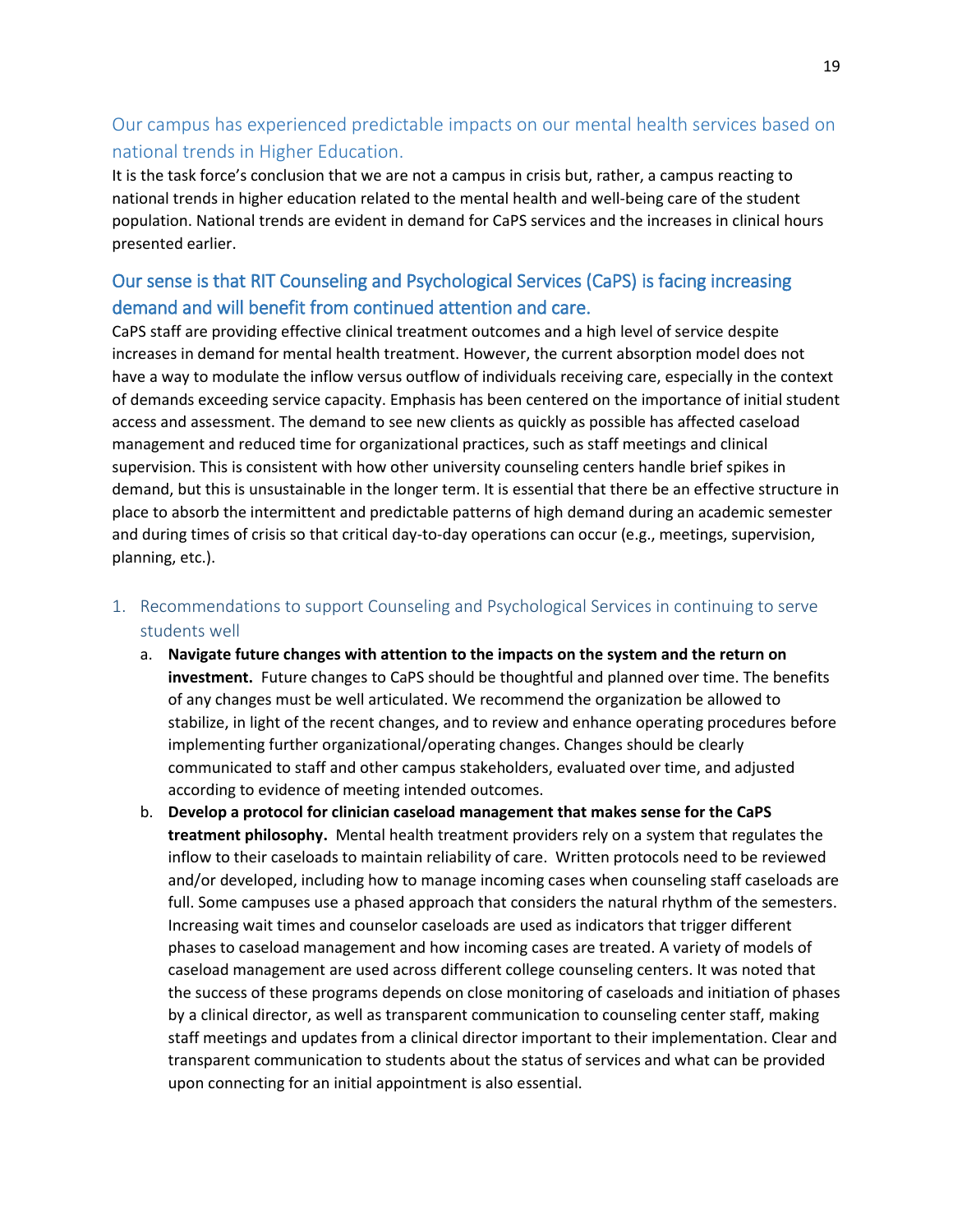## Our campus has experienced predictable impacts on our mental health services based on national trends in Higher Education.

It is the task force's conclusion that we are not a campus in crisis but, rather, a campus reacting to national trends in higher education related to the mental health and well-being care of the student population. National trends are evident in demand for CaPS services and the increases in clinical hours presented earlier.

## Our sense is that RIT Counseling and Psychological Services (CaPS) is facing increasing demand and will benefit from continued attention and care.

CaPS staff are providing effective clinical treatment outcomes and a high level of service despite increases in demand for mental health treatment. However, the current absorption model does not have a way to modulate the inflow versus outflow of individuals receiving care, especially in the context of demands exceeding service capacity. Emphasis has been centered on the importance of initial student access and assessment. The demand to see new clients as quickly as possible has affected caseload management and reduced time for organizational practices, such as staff meetings and clinical supervision. This is consistent with how other university counseling centers handle brief spikes in demand, but this is unsustainable in the longer term. It is essential that there be an effective structure in place to absorb the intermittent and predictable patterns of high demand during an academic semester and during times of crisis so that critical day-to-day operations can occur (e.g., meetings, supervision, planning, etc.).

- <span id="page-19-0"></span>1. Recommendations to support Counseling and Psychological Services in continuing to serve students well
	- a. **Navigate future changes with attention to the impacts on the system and the return on investment.** Future changes to CaPS should be thoughtful and planned over time. The benefits of any changes must be well articulated. We recommend the organization be allowed to stabilize, in light of the recent changes, and to review and enhance operating procedures before implementing further organizational/operating changes. Changes should be clearly communicated to staff and other campus stakeholders, evaluated over time, and adjusted according to evidence of meeting intended outcomes.
	- b. **Develop a protocol for clinician caseload management that makes sense for the CaPS treatment philosophy.** Mental health treatment providers rely on a system that regulates the inflow to their caseloads to maintain reliability of care. Written protocols need to be reviewed and/or developed, including how to manage incoming cases when counseling staff caseloads are full. Some campuses use a phased approach that considers the natural rhythm of the semesters. Increasing wait times and counselor caseloads are used as indicators that trigger different phases to caseload management and how incoming cases are treated. A variety of models of caseload management are used across different college counseling centers. It was noted that the success of these programs depends on close monitoring of caseloads and initiation of phases by a clinical director, as well as transparent communication to counseling center staff, making staff meetings and updates from a clinical director important to their implementation. Clear and transparent communication to students about the status of services and what can be provided upon connecting for an initial appointment is also essential.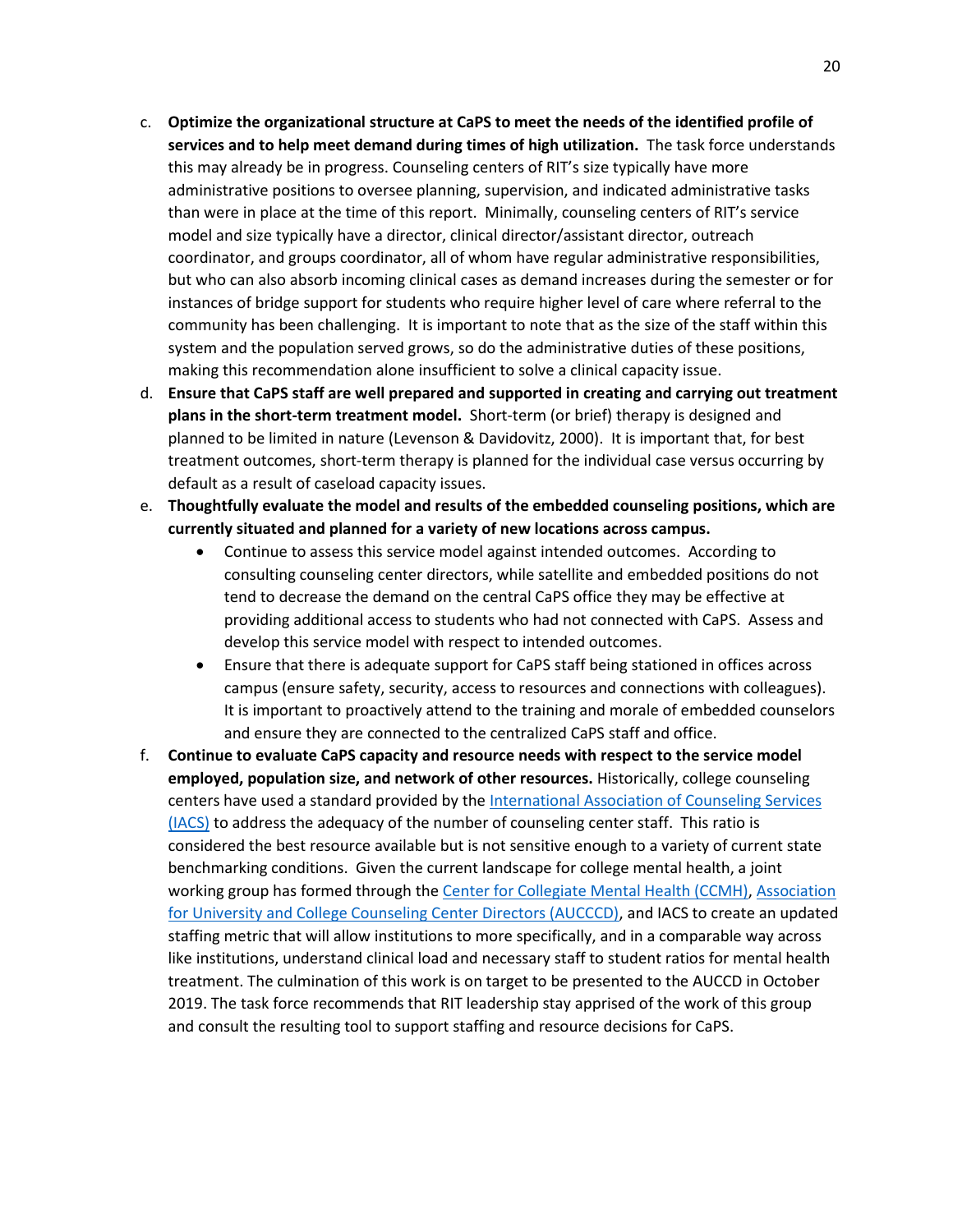- c. **Optimize the organizational structure at CaPS to meet the needs of the identified profile of services and to help meet demand during times of high utilization.** The task force understands this may already be in progress. Counseling centers of RIT's size typically have more administrative positions to oversee planning, supervision, and indicated administrative tasks than were in place at the time of this report. Minimally, counseling centers of RIT's service model and size typically have a director, clinical director/assistant director, outreach coordinator, and groups coordinator, all of whom have regular administrative responsibilities, but who can also absorb incoming clinical cases as demand increases during the semester or for instances of bridge support for students who require higher level of care where referral to the community has been challenging. It is important to note that as the size of the staff within this system and the population served grows, so do the administrative duties of these positions, making this recommendation alone insufficient to solve a clinical capacity issue.
- d. **Ensure that CaPS staff are well prepared and supported in creating and carrying out treatment plans in the short-term treatment model.** Short-term (or brief) therapy is designed and planned to be limited in nature (Levenson & Davidovitz, 2000). It is important that, for best treatment outcomes, short-term therapy is planned for the individual case versus occurring by default as a result of caseload capacity issues.
- e. **Thoughtfully evaluate the model and results of the embedded counseling positions, which are currently situated and planned for a variety of new locations across campus.** 
	- Continue to assess this service model against intended outcomes. According to consulting counseling center directors, while satellite and embedded positions do not tend to decrease the demand on the central CaPS office they may be effective at providing additional access to students who had not connected with CaPS. Assess and develop this service model with respect to intended outcomes.
	- Ensure that there is adequate support for CaPS staff being stationed in offices across campus (ensure safety, security, access to resources and connections with colleagues). It is important to proactively attend to the training and morale of embedded counselors and ensure they are connected to the centralized CaPS staff and office.
- f. **Continue to evaluate CaPS capacity and resource needs with respect to the service model employed, population size, and network of other resources.** Historically, college counseling centers have used a standard provided by th[e International Association of Counseling Services](http://www.iacsinc.org/staff-to-student-ratios.html)  [\(IACS\)](http://www.iacsinc.org/staff-to-student-ratios.html) to address the adequacy of the number of counseling center staff. This ratio is considered the best resource available but is not sensitive enough to a variety of current state benchmarking conditions. Given the current landscape for college mental health, a joint working group has formed through th[e Center for Collegiate Mental Health \(CCMH\),](https://ccmh.psu.edu/publications/) [Association](https://www.aucccd.org/)  [for University and College Counseling Center Directors \(AUCCCD\),](https://www.aucccd.org/) and IACS to create an updated staffing metric that will allow institutions to more specifically, and in a comparable way across like institutions, understand clinical load and necessary staff to student ratios for mental health treatment. The culmination of this work is on target to be presented to the AUCCD in October 2019. The task force recommends that RIT leadership stay apprised of the work of this group and consult the resulting tool to support staffing and resource decisions for CaPS.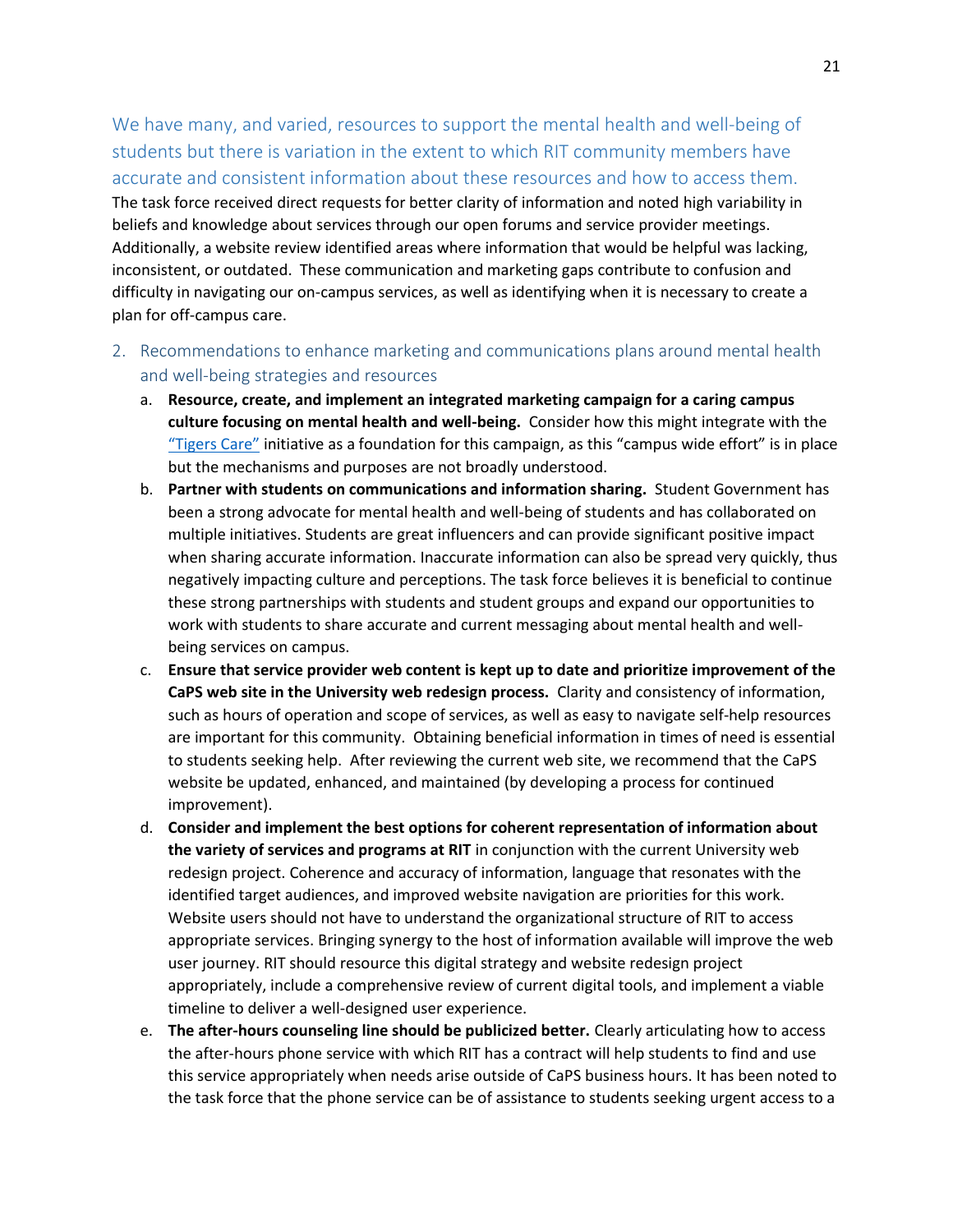We have many, and varied, resources to support the mental health and well-being of students but there is variation in the extent to which RIT community members have accurate and consistent information about these resources and how to access them. The task force received direct requests for better clarity of information and noted high variability in beliefs and knowledge about services through our open forums and service provider meetings. Additionally, a website review identified areas where information that would be helpful was lacking, inconsistent, or outdated. These communication and marketing gaps contribute to confusion and difficulty in navigating our on-campus services, as well as identifying when it is necessary to create a plan for off-campus care.

- <span id="page-21-0"></span>2. Recommendations to enhance marketing and communications plans around mental health and well-being strategies and resources
	- a. **Resource, create, and implement an integrated marketing campaign for a caring campus culture focusing on mental health and well-being.** Consider how this might integrate with the "[Tigers C](https://www.rit.edu/studentaffairs/tigerscare/)are" initiative as a foundation for this campaign, as this "campus wide effort" is in place but the mechanisms and purposes are not broadly understood.
	- b. **Partner with students on communications and information sharing.** Student Government has been a strong advocate for mental health and well-being of students and has collaborated on multiple initiatives. Students are great influencers and can provide significant positive impact when sharing accurate information. Inaccurate information can also be spread very quickly, thus negatively impacting culture and perceptions. The task force believes it is beneficial to continue these strong partnerships with students and student groups and expand our opportunities to work with students to share accurate and current messaging about mental health and wellbeing services on campus.
	- c. **Ensure that service provider web content is kept up to date and prioritize improvement of the CaPS web site in the University web redesign process.** Clarity and consistency of information, such as hours of operation and scope of services, as well as easy to navigate self-help resources are important for this community. Obtaining beneficial information in times of need is essential to students seeking help. After reviewing the current web site, we recommend that the CaPS website be updated, enhanced, and maintained (by developing a process for continued improvement).
	- d. **Consider and implement the best options for coherent representation of information about the variety of services and programs at RIT** in conjunction with the current University web redesign project. Coherence and accuracy of information, language that resonates with the identified target audiences, and improved website navigation are priorities for this work. Website users should not have to understand the organizational structure of RIT to access appropriate services. Bringing synergy to the host of information available will improve the web user journey. RIT should resource this digital strategy and website redesign project appropriately, include a comprehensive review of current digital tools, and implement a viable timeline to deliver a well-designed user experience.
	- e. **The after-hours counseling line should be publicized better.** Clearly articulating how to access the after-hours phone service with which RIT has a contract will help students to find and use this service appropriately when needs arise outside of CaPS business hours. It has been noted to the task force that the phone service can be of assistance to students seeking urgent access to a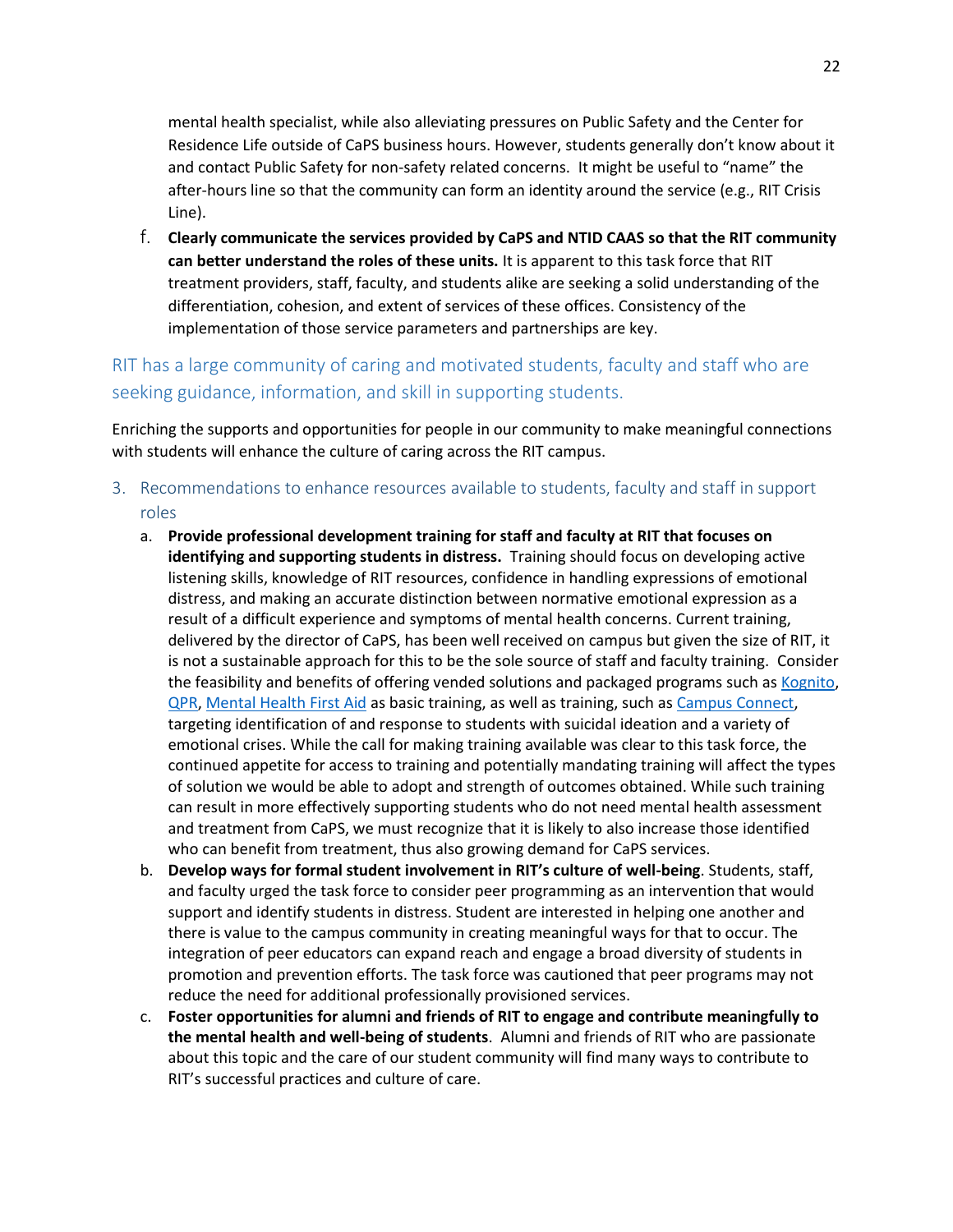mental health specialist, while also alleviating pressures on Public Safety and the Center for Residence Life outside of CaPS business hours. However, students generally don't know about it and contact Public Safety for non-safety related concerns. It might be useful to "name" the after-hours line so that the community can form an identity around the service (e.g., RIT Crisis Line).

f. **Clearly communicate the services provided by CaPS and NTID CAAS so that the RIT community can better understand the roles of these units.** It is apparent to this task force that RIT treatment providers, staff, faculty, and students alike are seeking a solid understanding of the differentiation, cohesion, and extent of services of these offices. Consistency of the implementation of those service parameters and partnerships are key.

## RIT has a large community of caring and motivated students, faculty and staff who are seeking guidance, information, and skill in supporting students.

Enriching the supports and opportunities for people in our community to make meaningful connections with students will enhance the culture of caring across the RIT campus.

- <span id="page-22-0"></span>3. Recommendations to enhance resources available to students, faculty and staff in support roles
	- a. **Provide professional development training for staff and faculty at RIT that focuses on identifying and supporting students in distress.** Training should focus on developing active listening skills, knowledge of RIT resources, confidence in handling expressions of emotional distress, and making an accurate distinction between normative emotional expression as a result of a difficult experience and symptoms of mental health concerns. Current training, delivered by the director of CaPS, has been well received on campus but given the size of RIT, it is not a sustainable approach for this to be the sole source of staff and faculty training. Consider the feasibility and benefits of offering vended solutions and packaged programs such a[s Kognito,](https://kognito.com/) [QPR,](https://qprinstitute.com/) [Mental Health First Aid](https://www.mentalhealthfirstaid.org/) as basic training, as well as training, such a[s Campus Connect,](http://counselingcenter.syr.edu/about/Campus%20Connect/) targeting identification of and response to students with suicidal ideation and a variety of emotional crises. While the call for making training available was clear to this task force, the continued appetite for access to training and potentially mandating training will affect the types of solution we would be able to adopt and strength of outcomes obtained. While such training can result in more effectively supporting students who do not need mental health assessment and treatment from CaPS, we must recognize that it is likely to also increase those identified who can benefit from treatment, thus also growing demand for CaPS services.
	- b. **Develop ways for formal student involvement in RIT's culture of well-being**. Students, staff, and faculty urged the task force to consider peer programming as an intervention that would support and identify students in distress. Student are interested in helping one another and there is value to the campus community in creating meaningful ways for that to occur. The integration of peer educators can expand reach and engage a broad diversity of students in promotion and prevention efforts. The task force was cautioned that peer programs may not reduce the need for additional professionally provisioned services.
	- c. **Foster opportunities for alumni and friends of RIT to engage and contribute meaningfully to the mental health and well-being of students**. Alumni and friends of RIT who are passionate about this topic and the care of our student community will find many ways to contribute to RIT's successful practices and culture of care.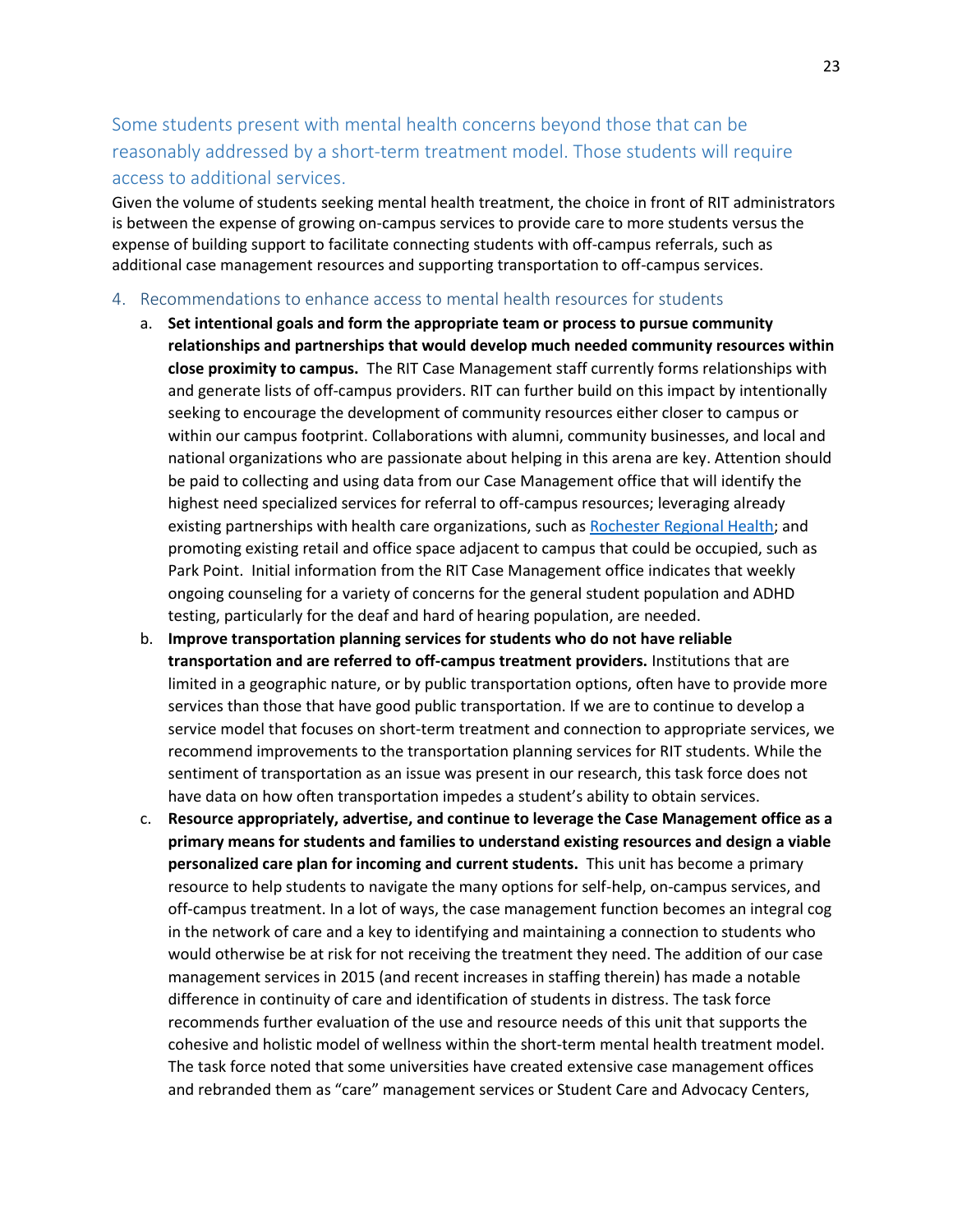## Some students present with mental health concerns beyond those that can be reasonably addressed by a short-term treatment model. Those students will require access to additional services.

Given the volume of students seeking mental health treatment, the choice in front of RIT administrators is between the expense of growing on-campus services to provide care to more students versus the expense of building support to facilitate connecting students with off-campus referrals, such as additional case management resources and supporting transportation to off-campus services.

#### <span id="page-23-0"></span>4. Recommendations to enhance access to mental health resources for students

- a. **Set intentional goals and form the appropriate team or process to pursue community relationships and partnerships that would develop much needed community resources within close proximity to campus.** The RIT Case Management staff currently forms relationships with and generate lists of off-campus providers. RIT can further build on this impact by intentionally seeking to encourage the development of community resources either closer to campus or within our campus footprint. Collaborations with alumni, community businesses, and local and national organizations who are passionate about helping in this arena are key. Attention should be paid to collecting and using data from our Case Management office that will identify the highest need specialized services for referral to off-campus resources; leveraging already existing partnerships with health care organizations, such as [Rochester Regional Health;](https://www.rit.edu/affiliate/rrh/overview) and promoting existing retail and office space adjacent to campus that could be occupied, such as Park Point. Initial information from the RIT Case Management office indicates that weekly ongoing counseling for a variety of concerns for the general student population and ADHD testing, particularly for the deaf and hard of hearing population, are needed.
- b. **Improve transportation planning services for students who do not have reliable transportation and are referred to off-campus treatment providers.** Institutions that are limited in a geographic nature, or by public transportation options, often have to provide more services than those that have good public transportation. If we are to continue to develop a service model that focuses on short-term treatment and connection to appropriate services, we recommend improvements to the transportation planning services for RIT students. While the sentiment of transportation as an issue was present in our research, this task force does not have data on how often transportation impedes a student's ability to obtain services.
- c. **Resource appropriately, advertise, and continue to leverage the Case Management office as a primary means for students and families to understand existing resources and design a viable personalized care plan for incoming and current students.** This unit has become a primary resource to help students to navigate the many options for self-help, on-campus services, and off-campus treatment. In a lot of ways, the case management function becomes an integral cog in the network of care and a key to identifying and maintaining a connection to students who would otherwise be at risk for not receiving the treatment they need. The addition of our case management services in 2015 (and recent increases in staffing therein) has made a notable difference in continuity of care and identification of students in distress. The task force recommends further evaluation of the use and resource needs of this unit that supports the cohesive and holistic model of wellness within the short-term mental health treatment model. The task force noted that some universities have created extensive case management offices and rebranded them as "care" management services or Student Care and Advocacy Centers,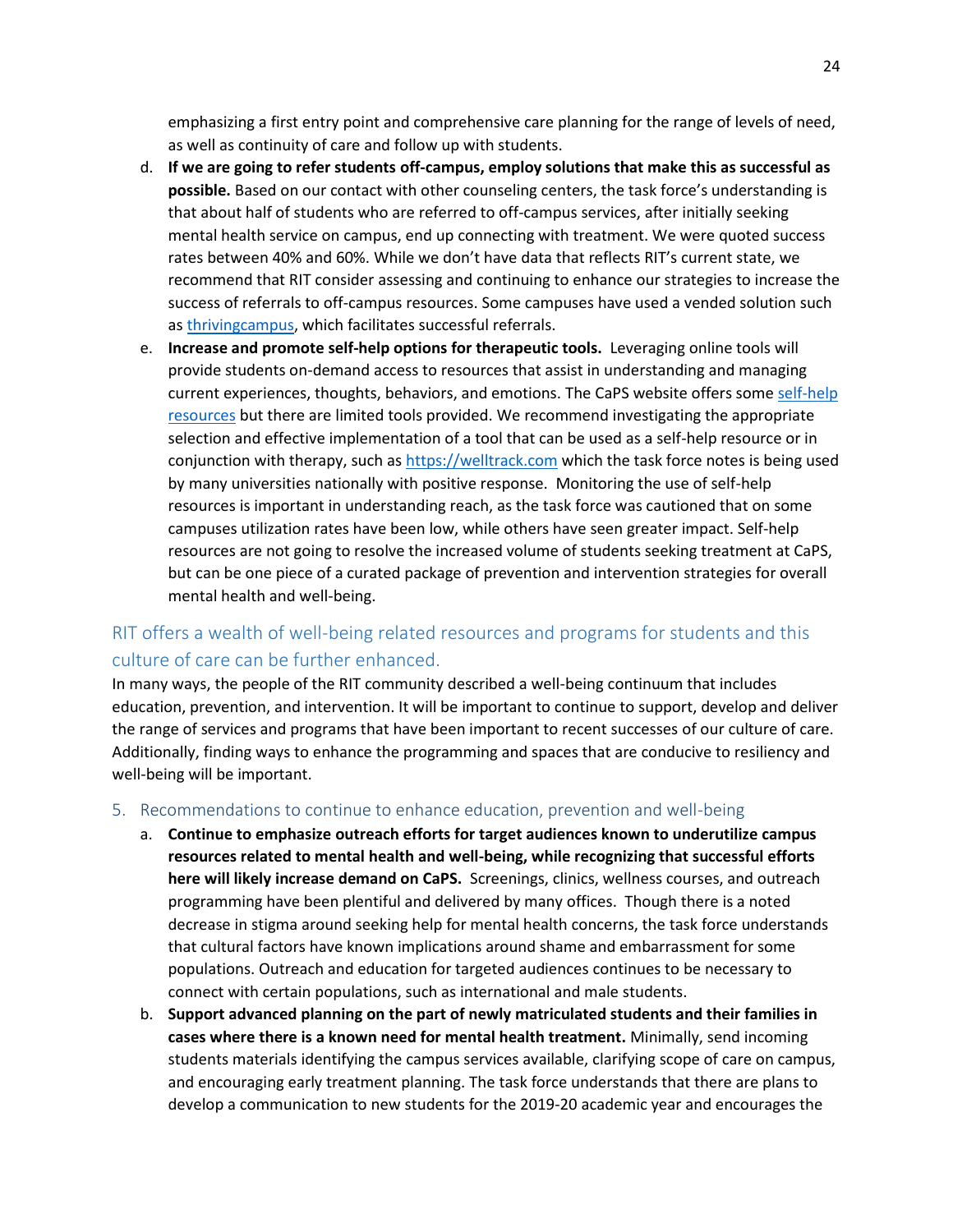emphasizing a first entry point and comprehensive care planning for the range of levels of need, as well as continuity of care and follow up with students.

- d. **If we are going to refer students off-campus, employ solutions that make this as successful as possible.** Based on our contact with other counseling centers, the task force's understanding is that about half of students who are referred to off-campus services, after initially seeking mental health service on campus, end up connecting with treatment. We were quoted success rates between 40% and 60%. While we don't have data that reflects RIT's current state, we recommend that RIT consider assessing and continuing to enhance our strategies to increase the success of referrals to off-campus resources. Some campuses have used a vended solution such as [thrivingcampus,](https://www.thrivingcampus.com/schools.html) which facilitates successful referrals.
- e. **Increase and promote self-help options for therapeutic tools.** Leveraging online tools will provide students on-demand access to resources that assist in understanding and managing current experiences, thoughts, behaviors, and emotions. The CaPS website offers som[e self-help](https://www.rit.edu/studentaffairs/counseling/get-support/self-help-resources)  [resources](https://www.rit.edu/studentaffairs/counseling/get-support/self-help-resources) but there are limited tools provided. We recommend investigating the appropriate selection and effective implementation of a tool that can be used as a self-help resource or in conjunction with therapy, such as [https://welltrack.com](https://welltrack.com/) which the task force notes is being used by many universities nationally with positive response. Monitoring the use of self-help resources is important in understanding reach, as the task force was cautioned that on some campuses utilization rates have been low, while others have seen greater impact. Self-help resources are not going to resolve the increased volume of students seeking treatment at CaPS, but can be one piece of a curated package of prevention and intervention strategies for overall mental health and well-being.

## RIT offers a wealth of well-being related resources and programs for students and this culture of care can be further enhanced.

In many ways, the people of the RIT community described a well-being continuum that includes education, prevention, and intervention. It will be important to continue to support, develop and deliver the range of services and programs that have been important to recent successes of our culture of care. Additionally, finding ways to enhance the programming and spaces that are conducive to resiliency and well-being will be important.

#### <span id="page-24-0"></span>5. Recommendations to continue to enhance education, prevention and well-being

- a. **Continue to emphasize outreach efforts for target audiences known to underutilize campus resources related to mental health and well-being, while recognizing that successful efforts here will likely increase demand on CaPS.** Screenings, clinics, wellness courses, and outreach programming have been plentiful and delivered by many offices. Though there is a noted decrease in stigma around seeking help for mental health concerns, the task force understands that cultural factors have known implications around shame and embarrassment for some populations. Outreach and education for targeted audiences continues to be necessary to connect with certain populations, such as international and male students.
- b. **Support advanced planning on the part of newly matriculated students and their families in cases where there is a known need for mental health treatment.** Minimally, send incoming students materials identifying the campus services available, clarifying scope of care on campus, and encouraging early treatment planning. The task force understands that there are plans to develop a communication to new students for the 2019-20 academic year and encourages the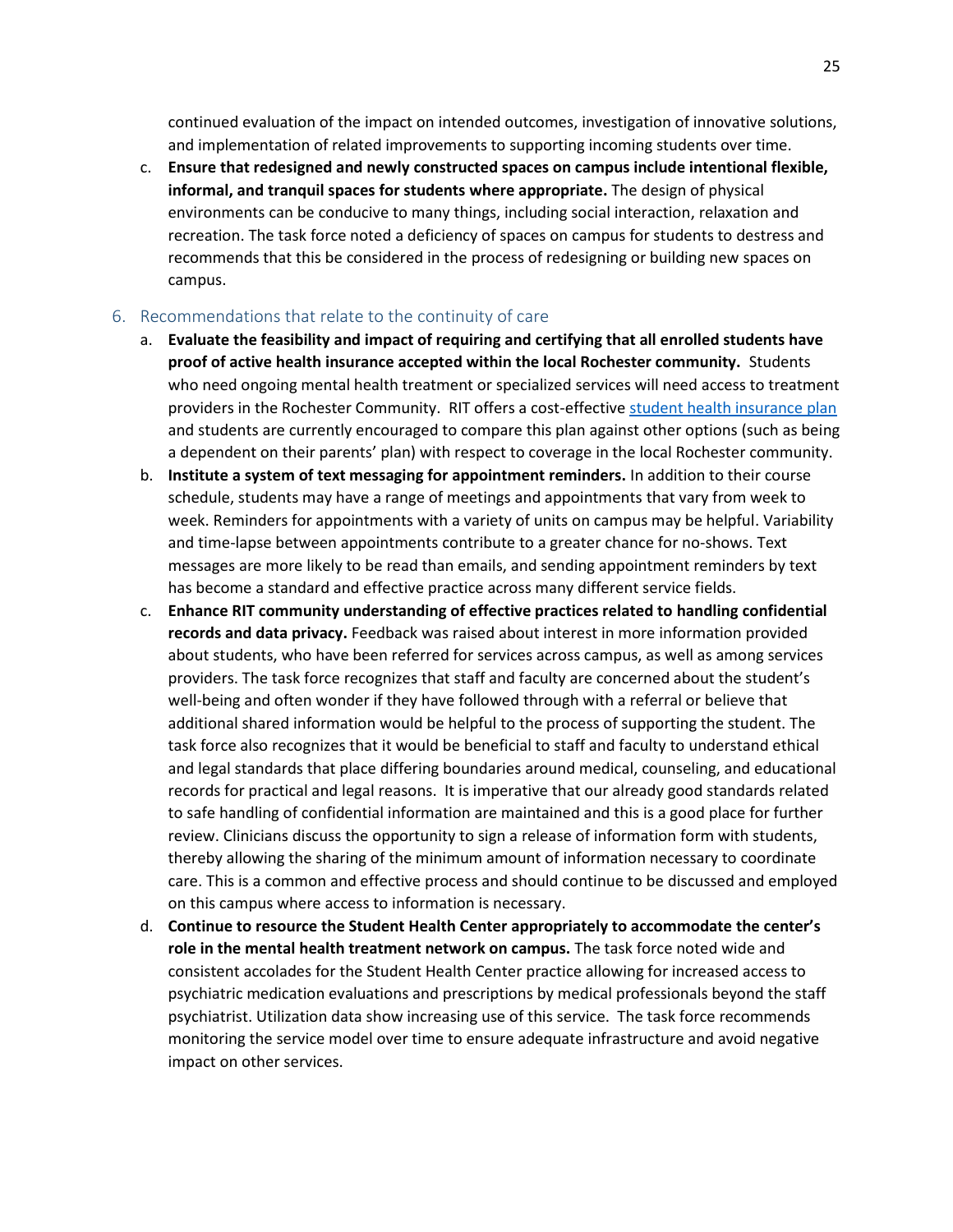continued evaluation of the impact on intended outcomes, investigation of innovative solutions, and implementation of related improvements to supporting incoming students over time.

c. **Ensure that redesigned and newly constructed spaces on campus include intentional flexible, informal, and tranquil spaces for students where appropriate.** The design of physical environments can be conducive to many things, including social interaction, relaxation and recreation. The task force noted a deficiency of spaces on campus for students to destress and recommends that this be considered in the process of redesigning or building new spaces on campus.

#### <span id="page-25-0"></span>6. Recommendations that relate to the continuity of care

- a. **Evaluate the feasibility and impact of requiring and certifying that all enrolled students have proof of active health insurance accepted within the local Rochester community.** Students who need ongoing mental health treatment or specialized services will need access to treatment providers in the Rochester Community. RIT offers a cost-effectiv[e student health insurance plan](https://www.gallagherstudent.com/brochures/10405.pdf) and students are currently encouraged to compare this plan against other options (such as being a dependent on their parents' plan) with respect to coverage in the local Rochester community.
- b. **Institute a system of text messaging for appointment reminders.** In addition to their course schedule, students may have a range of meetings and appointments that vary from week to week. Reminders for appointments with a variety of units on campus may be helpful. Variability and time-lapse between appointments contribute to a greater chance for no-shows. Text messages are more likely to be read than emails, and sending appointment reminders by text has become a standard and effective practice across many different service fields.
- c. **Enhance RIT community understanding of effective practices related to handling confidential records and data privacy.** Feedback was raised about interest in more information provided about students, who have been referred for services across campus, as well as among services providers. The task force recognizes that staff and faculty are concerned about the student's well-being and often wonder if they have followed through with a referral or believe that additional shared information would be helpful to the process of supporting the student. The task force also recognizes that it would be beneficial to staff and faculty to understand ethical and legal standards that place differing boundaries around medical, counseling, and educational records for practical and legal reasons. It is imperative that our already good standards related to safe handling of confidential information are maintained and this is a good place for further review. Clinicians discuss the opportunity to sign a release of information form with students, thereby allowing the sharing of the minimum amount of information necessary to coordinate care. This is a common and effective process and should continue to be discussed and employed on this campus where access to information is necessary.
- d. **Continue to resource the Student Health Center appropriately to accommodate the center's role in the mental health treatment network on campus.** The task force noted wide and consistent accolades for the Student Health Center practice allowing for increased access to psychiatric medication evaluations and prescriptions by medical professionals beyond the staff psychiatrist. Utilization data show increasing use of this service. The task force recommends monitoring the service model over time to ensure adequate infrastructure and avoid negative impact on other services.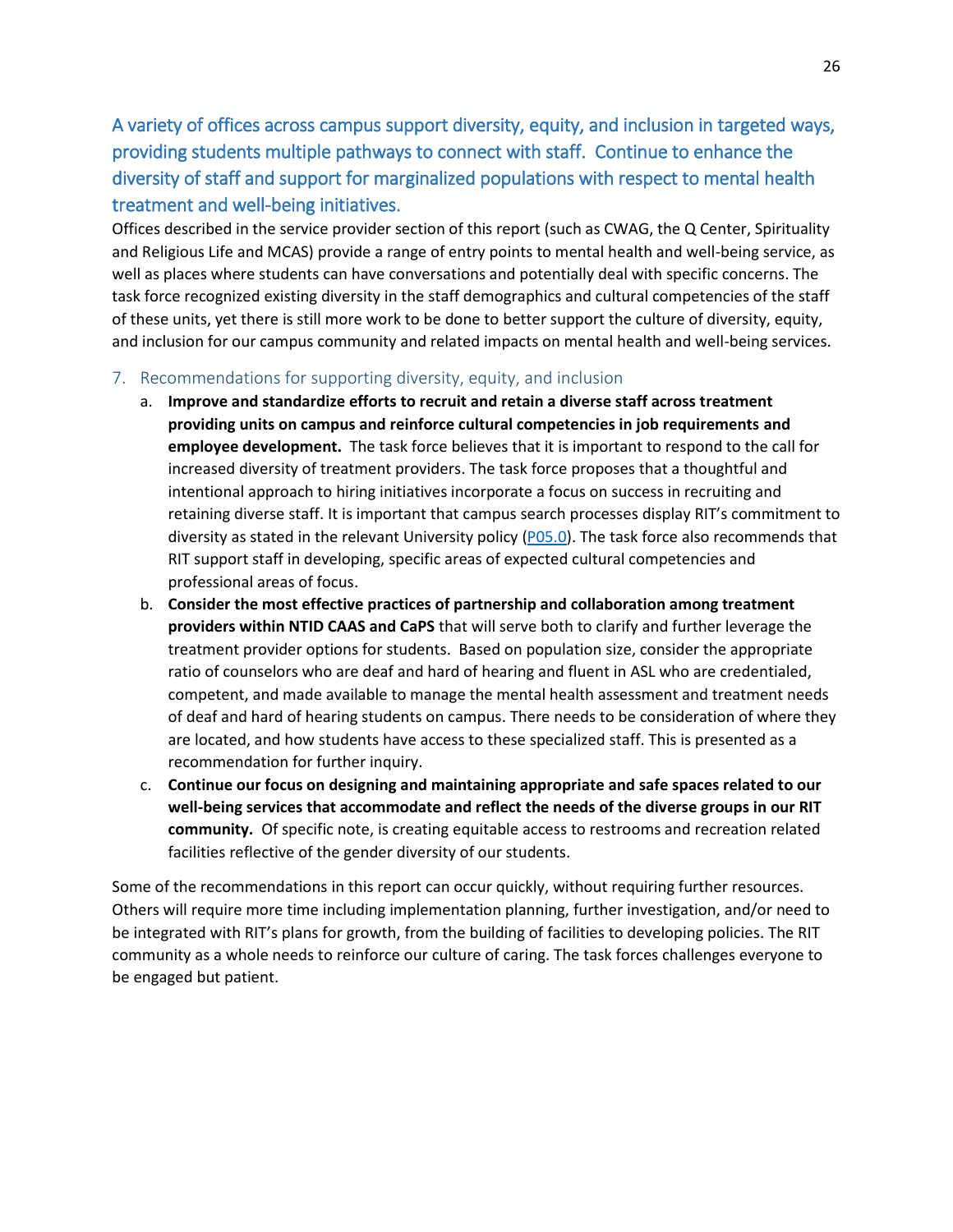A variety of offices across campus support diversity, equity, and inclusion in targeted ways, providing students multiple pathways to connect with staff. Continue to enhance the diversity of staff and support for marginalized populations with respect to mental health treatment and well-being initiatives.

Offices described in the service provider section of this report (such as CWAG, the Q Center, Spirituality and Religious Life and MCAS) provide a range of entry points to mental health and well-being service, as well as places where students can have conversations and potentially deal with specific concerns. The task force recognized existing diversity in the staff demographics and cultural competencies of the staff of these units, yet there is still more work to be done to better support the culture of diversity, equity, and inclusion for our campus community and related impacts on mental health and well-being services.

- <span id="page-26-0"></span>7. Recommendations for supporting diversity, equity, and inclusion
	- a. **Improve and standardize efforts to recruit and retain a diverse staff across treatment providing units on campus and reinforce cultural competencies in job requirements and employee development.** The task force believes that it is important to respond to the call for increased diversity of treatment providers. The task force proposes that a thoughtful and intentional approach to hiring initiatives incorporate a focus on success in recruiting and retaining diverse staff. It is important that campus search processes display RIT's commitment to diversity as stated in the relevant University policy [\(P05.0\)](https://www.rit.edu/academicaffairs/policiesmanual/p050). The task force also recommends that RIT support staff in developing, specific areas of expected cultural competencies and professional areas of focus.
	- b. **Consider the most effective practices of partnership and collaboration among treatment providers within NTID CAAS and CaPS** that will serve both to clarify and further leverage the treatment provider options for students. Based on population size, consider the appropriate ratio of counselors who are deaf and hard of hearing and fluent in ASL who are credentialed, competent, and made available to manage the mental health assessment and treatment needs of deaf and hard of hearing students on campus. There needs to be consideration of where they are located, and how students have access to these specialized staff. This is presented as a recommendation for further inquiry.
	- c. **Continue our focus on designing and maintaining appropriate and safe spaces related to our well-being services that accommodate and reflect the needs of the diverse groups in our RIT community.** Of specific note, is creating equitable access to restrooms and recreation related facilities reflective of the gender diversity of our students.

Some of the recommendations in this report can occur quickly, without requiring further resources. Others will require more time including implementation planning, further investigation, and/or need to be integrated with RIT's plans for growth, from the building of facilities to developing policies. The RIT community as a whole needs to reinforce our culture of caring. The task forces challenges everyone to be engaged but patient.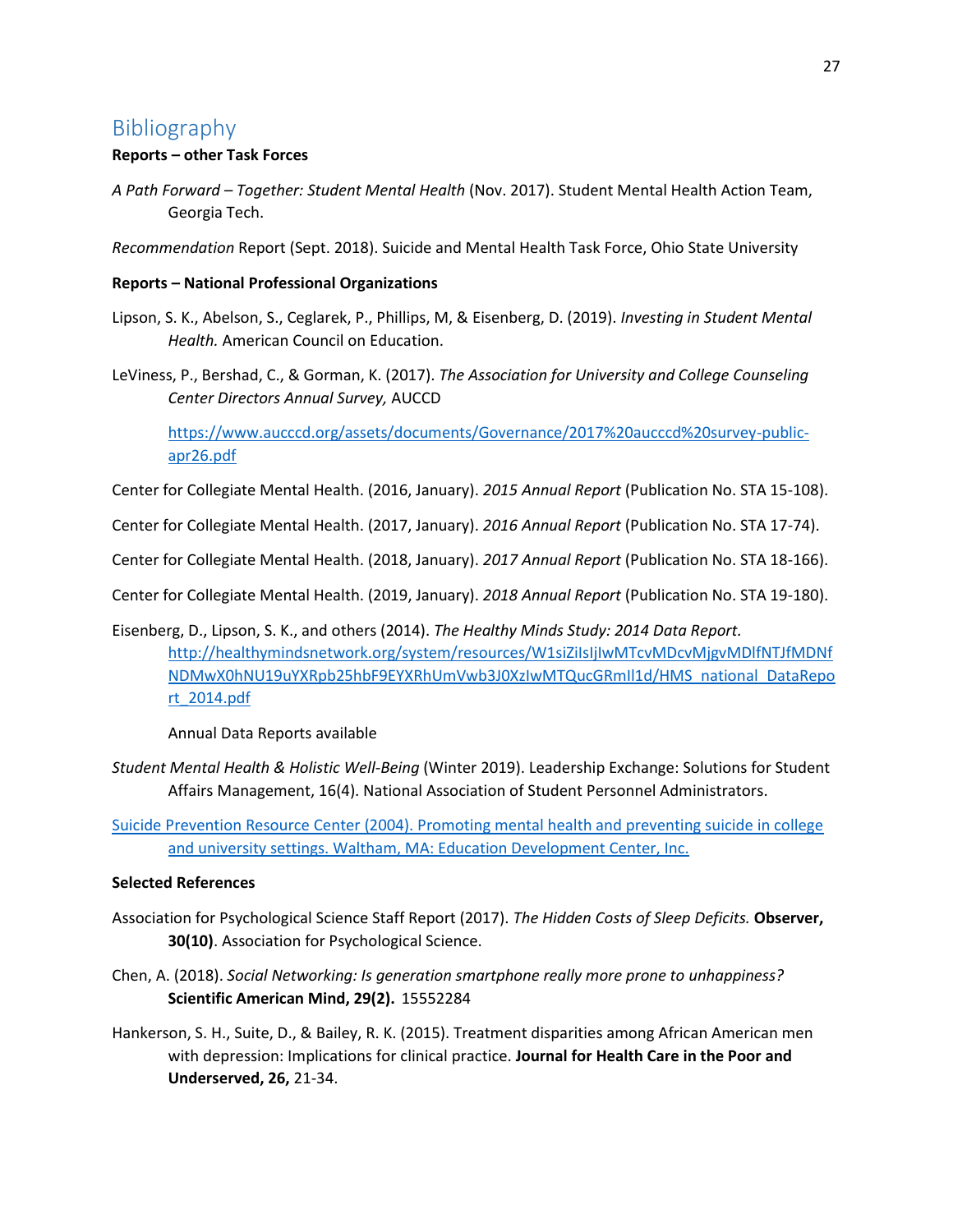# <span id="page-27-0"></span>Bibliography

#### **Reports – other Task Forces**

*A Path Forward – Together: Student Mental Health* (Nov. 2017). Student Mental Health Action Team, Georgia Tech.

*Recommendation* Report (Sept. 2018). Suicide and Mental Health Task Force, Ohio State University

#### **Reports – National Professional Organizations**

- Lipson, S. K., Abelson, S., Ceglarek, P., Phillips, M, & Eisenberg, D. (2019). *Investing in Student Mental Health.* American Council on Education.
- LeViness, P., Bershad, C., & Gorman, K. (2017). *The Association for University and College Counseling Center Directors Annual Survey,* AUCCD

[https://www.aucccd.org/assets/documents/Governance/2017%20aucccd%20survey-public](https://www.aucccd.org/assets/documents/Governance/2017%20aucccd%20survey-public-apr26.pdf)[apr26.pdf](https://www.aucccd.org/assets/documents/Governance/2017%20aucccd%20survey-public-apr26.pdf)

Center for Collegiate Mental Health. (2016, January). *2015 Annual Report* (Publication No. STA 15-108).

Center for Collegiate Mental Health. (2017, January). *2016 Annual Report* (Publication No. STA 17-74).

Center for Collegiate Mental Health. (2018, January). *2017 Annual Report* (Publication No. STA 18-166).

Center for Collegiate Mental Health. (2019, January). *2018 Annual Report* (Publication No. STA 19-180).

Eisenberg, D., Lipson, S. K., and others (2014). *The Healthy Minds Study: 2014 Data Report.* [http://healthymindsnetwork.org/system/resources/W1siZiIsIjIwMTcvMDcvMjgvMDlfNTJfMDNf](http://healthymindsnetwork.org/system/resources/W1siZiIsIjIwMTcvMDcvMjgvMDlfNTJfMDNfNDMwX0hNU19uYXRpb25hbF9EYXRhUmVwb3J0XzIwMTQucGRmIl1d/HMS_national_DataReport_2014.pdf) [NDMwX0hNU19uYXRpb25hbF9EYXRhUmVwb3J0XzIwMTQucGRmIl1d/HMS\\_national\\_DataRepo](http://healthymindsnetwork.org/system/resources/W1siZiIsIjIwMTcvMDcvMjgvMDlfNTJfMDNfNDMwX0hNU19uYXRpb25hbF9EYXRhUmVwb3J0XzIwMTQucGRmIl1d/HMS_national_DataReport_2014.pdf) [rt\\_2014.pdf](http://healthymindsnetwork.org/system/resources/W1siZiIsIjIwMTcvMDcvMjgvMDlfNTJfMDNfNDMwX0hNU19uYXRpb25hbF9EYXRhUmVwb3J0XzIwMTQucGRmIl1d/HMS_national_DataReport_2014.pdf)

Annual Data Reports available

*Student Mental Health & Holistic Well-Being* (Winter 2019). Leadership Exchange: Solutions for Student Affairs Management, 16(4). National Association of Student Personnel Administrators.

[Suicide Prevention Resource Center \(2004\). Promoting mental health and preventing suicide in college](http://www.sprc.org/sites/sprc.org/files/library/college_sp_whitepaper.pdf)  [and university settings. Waltham, MA: Education Development Center, Inc.](http://www.sprc.org/sites/sprc.org/files/library/college_sp_whitepaper.pdf)

#### **Selected References**

- Association for Psychological Science Staff Report (2017). *The Hidden Costs of Sleep Deficits.* **Observer, 30(10)**. Association for Psychological Science.
- Chen, A. (2018). *Social Networking: Is generation smartphone really more prone to unhappiness?* **Scientific American Mind, 29(2).** 15552284
- Hankerson, S. H., Suite, D., & Bailey, R. K. (2015). Treatment disparities among African American men with depression: Implications for clinical practice. **Journal for Health Care in the Poor and Underserved, 26,** 21-34.